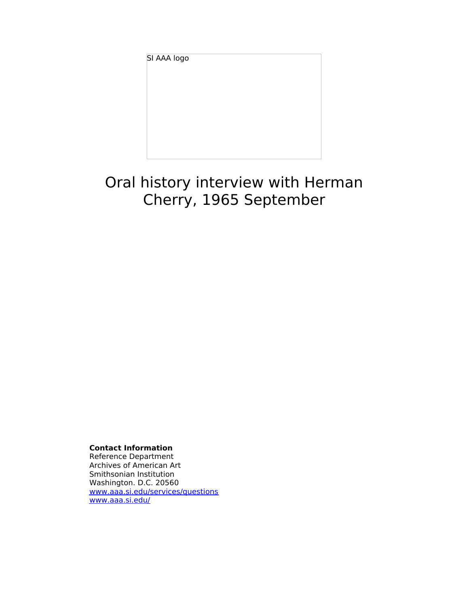SI AAA logo

# Oral history interview with Herman Cherry, 1965 September

**Contact Information**

Reference Department Archives of American Art Smithsonian Institution Washington. D.C. 20560 [www.aaa.si.edu/services/questions](http://www.aaa.si.edu/services/questions) [www.aaa.si.edu/](http://www.aaa.si.edu/)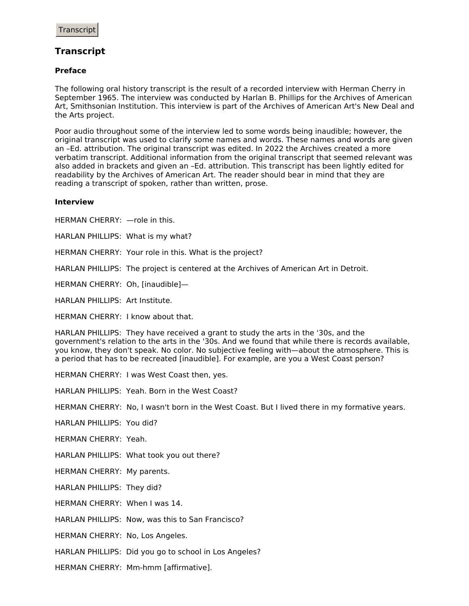## **Transcript**

## **Preface**

The following oral history transcript is the result of a recorded interview with Herman Cherry in September 1965. The interview was conducted by Harlan B. Phillips for the Archives of American Art, Smithsonian Institution. This interview is part of the Archives of American Art's New Deal and the Arts project.

Poor audio throughout some of the interview led to some words being inaudible; however, the original transcript was used to clarify some names and words. These names and words are given an –Ed. attribution. The original transcript was edited. In 2022 the Archives created a more verbatim transcript. Additional information from the original transcript that seemed relevant was also added in brackets and given an –Ed. attribution. This transcript has been lightly edited for readability by the Archives of American Art. The reader should bear in mind that they are reading a transcript of spoken, rather than written, prose.

## **Interview**

HERMAN CHERRY: —role in this.

HARLAN PHILLIPS: What is my what?

HERMAN CHERRY: Your role in this. What is the project?

HARLAN PHILLIPS: The project is centered at the Archives of American Art in Detroit.

HERMAN CHERRY: Oh, [inaudible]—

HARLAN PHILLIPS: Art Institute.

HERMAN CHERRY: I know about that.

HARLAN PHILLIPS: They have received a grant to study the arts in the '30s, and the government's relation to the arts in the '30s. And we found that while there is records available, you know, they don't speak. No color. No subjective feeling with—about the atmosphere. This is a period that has to be recreated [inaudible]. For example, are you a West Coast person?

HERMAN CHERRY: I was West Coast then, yes.

HARLAN PHILLIPS: Yeah. Born in the West Coast?

HERMAN CHERRY: No, I wasn't born in the West Coast. But I lived there in my formative years.

HARLAN PHILLIPS: You did?

HERMAN CHERRY: Yeah.

HARLAN PHILLIPS: What took you out there?

HERMAN CHERRY: My parents.

HARLAN PHILLIPS: They did?

HERMAN CHERRY: When I was 14.

HARLAN PHILLIPS: Now, was this to San Francisco?

HERMAN CHERRY: No, Los Angeles.

HARLAN PHILLIPS: Did you go to school in Los Angeles?

HERMAN CHERRY: Mm-hmm [affirmative].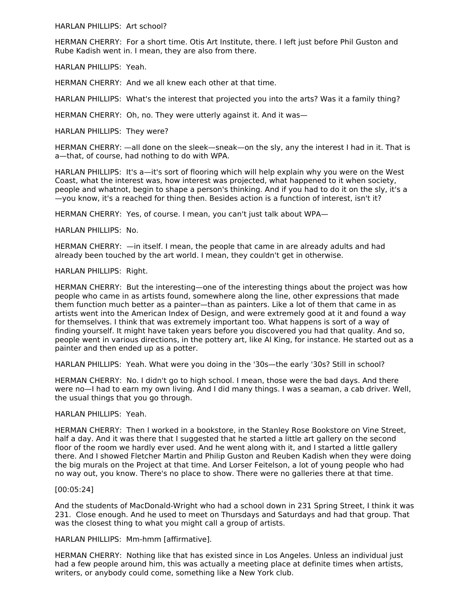HARLAN PHILLIPS: Art school?

HERMAN CHERRY: For a short time. Otis Art Institute, there. I left just before Phil Guston and Rube Kadish went in. I mean, they are also from there.

HARLAN PHILLIPS: Yeah.

HERMAN CHERRY: And we all knew each other at that time.

HARLAN PHILLIPS: What's the interest that projected you into the arts? Was it a family thing?

HERMAN CHERRY: Oh, no. They were utterly against it. And it was—

HARLAN PHILLIPS: They were?

HERMAN CHERRY: —all done on the sleek—sneak—on the sly, any the interest I had in it. That is a—that, of course, had nothing to do with WPA.

HARLAN PHILLIPS: It's a—it's sort of flooring which will help explain why you were on the West Coast, what the interest was, how interest was projected, what happened to it when society, people and whatnot, begin to shape a person's thinking. And if you had to do it on the sly, it's a —you know, it's a reached for thing then. Besides action is a function of interest, isn't it?

HERMAN CHERRY: Yes, of course. I mean, you can't just talk about WPA—

HARLAN PHILLIPS: No.

HERMAN CHERRY: —in itself. I mean, the people that came in are already adults and had already been touched by the art world. I mean, they couldn't get in otherwise.

HARLAN PHILLIPS: Right.

HERMAN CHERRY: But the interesting—one of the interesting things about the project was how people who came in as artists found, somewhere along the line, other expressions that made them function much better as a painter—than as painters. Like a lot of them that came in as artists went into the American Index of Design, and were extremely good at it and found a way for themselves. I think that was extremely important too. What happens is sort of a way of finding yourself. It might have taken years before you discovered you had that quality. And so, people went in various directions, in the pottery art, like Al King, for instance. He started out as a painter and then ended up as a potter.

HARLAN PHILLIPS: Yeah. What were you doing in the '30s—the early '30s? Still in school?

HERMAN CHERRY: No. I didn't go to high school. I mean, those were the bad days. And there were no—I had to earn my own living. And I did many things. I was a seaman, a cab driver. Well, the usual things that you go through.

#### HARLAN PHILLIPS: Yeah.

HERMAN CHERRY: Then I worked in a bookstore, in the Stanley Rose Bookstore on Vine Street, half a day. And it was there that I suggested that he started a little art gallery on the second floor of the room we hardly ever used. And he went along with it, and I started a little gallery there. And I showed Fletcher Martin and Philip Guston and Reuben Kadish when they were doing the big murals on the Project at that time. And Lorser Feitelson, a lot of young people who had no way out, you know. There's no place to show. There were no galleries there at that time.

## [00:05:24]

And the students of MacDonald-Wright who had a school down in 231 Spring Street, I think it was 231. Close enough. And he used to meet on Thursdays and Saturdays and had that group. That was the closest thing to what you might call a group of artists.

HARLAN PHILLIPS: Mm-hmm [affirmative].

HERMAN CHERRY: Nothing like that has existed since in Los Angeles. Unless an individual just had a few people around him, this was actually a meeting place at definite times when artists, writers, or anybody could come, something like a New York club.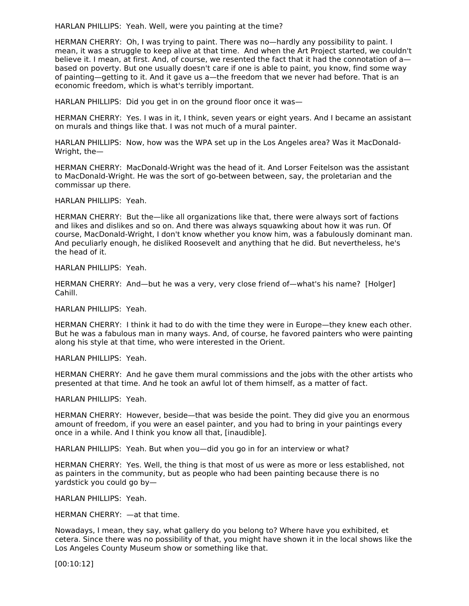HARLAN PHILLIPS: Yeah. Well, were you painting at the time?

HERMAN CHERRY: Oh, I was trying to paint. There was no—hardly any possibility to paint. I mean, it was a struggle to keep alive at that time. And when the Art Project started, we couldn't believe it. I mean, at first. And, of course, we resented the fact that it had the connotation of abased on poverty. But one usually doesn't care if one is able to paint, you know, find some way of painting—getting to it. And it gave us a—the freedom that we never had before. That is an economic freedom, which is what's terribly important.

HARLAN PHILLIPS: Did you get in on the ground floor once it was—

HERMAN CHERRY: Yes. I was in it, I think, seven years or eight years. And I became an assistant on murals and things like that. I was not much of a mural painter.

HARLAN PHILLIPS: Now, how was the WPA set up in the Los Angeles area? Was it MacDonald- Wright, the—

HERMAN CHERRY: MacDonald-Wright was the head of it. And Lorser Feitelson was the assistant to MacDonald-Wright. He was the sort of go-between between, say, the proletarian and the commissar up there.

HARLAN PHILLIPS: Yeah.

HERMAN CHERRY: But the—like all organizations like that, there were always sort of factions and likes and dislikes and so on. And there was always squawking about how it was run. Of course, MacDonald-Wright, I don't know whether you know him, was a fabulously dominant man. And peculiarly enough, he disliked Roosevelt and anything that he did. But nevertheless, he's the head of it.

HARLAN PHILLIPS: Yeah.

HERMAN CHERRY: And—but he was a very, very close friend of—what's his name? [Holger] Cahill.

HARLAN PHILLIPS: Yeah.

HERMAN CHERRY: I think it had to do with the time they were in Europe—they knew each other. But he was a fabulous man in many ways. And, of course, he favored painters who were painting along his style at that time, who were interested in the Orient.

HARLAN PHILLIPS: Yeah.

HERMAN CHERRY: And he gave them mural commissions and the jobs with the other artists who presented at that time. And he took an awful lot of them himself, as a matter of fact.

HARLAN PHILLIPS: Yeah.

HERMAN CHERRY: However, beside—that was beside the point. They did give you an enormous amount of freedom, if you were an easel painter, and you had to bring in your paintings every once in a while. And I think you know all that, [inaudible].

HARLAN PHILLIPS: Yeah. But when you—did you go in for an interview or what?

HERMAN CHERRY: Yes. Well, the thing is that most of us were as more or less established, not as painters in the community, but as people who had been painting because there is no yardstick you could go by—

HARLAN PHILLIPS: Yeah.

HERMAN CHERRY: —at that time.

Nowadays, I mean, they say, what gallery do you belong to? Where have you exhibited, et cetera. Since there was no possibility of that, you might have shown it in the local shows like the Los Angeles County Museum show or something like that.

[00:10:12]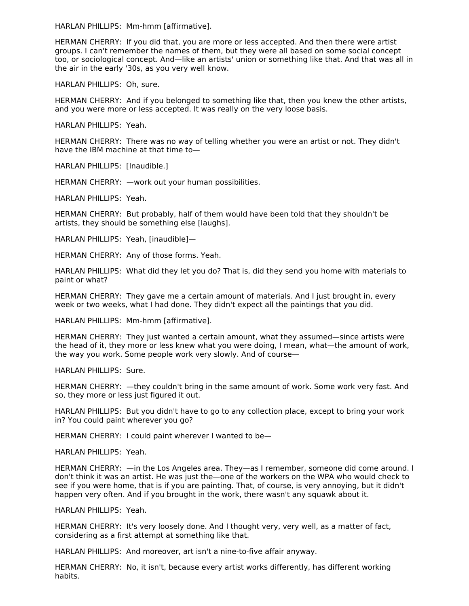HARLAN PHILLIPS: Mm-hmm [affirmative].

HERMAN CHERRY: If you did that, you are more or less accepted. And then there were artist groups. I can't remember the names of them, but they were all based on some social concept too, or sociological concept. And—like an artists' union or something like that. And that was all in the air in the early '30s, as you very well know.

HARLAN PHILLIPS: Oh, sure.

HERMAN CHERRY: And if you belonged to something like that, then you knew the other artists, and you were more or less accepted. It was really on the very loose basis.

HARLAN PHILLIPS: Yeah.

HERMAN CHERRY: There was no way of telling whether you were an artist or not. They didn't have the IBM machine at that time to—

HARLAN PHILLIPS: [Inaudible.]

HERMAN CHERRY: —work out your human possibilities.

HARLAN PHILLIPS: Yeah.

HERMAN CHERRY: But probably, half of them would have been told that they shouldn't be artists, they should be something else [laughs].

HARLAN PHILLIPS: Yeah, [inaudible]—

HERMAN CHERRY: Any of those forms. Yeah.

HARLAN PHILLIPS: What did they let you do? That is, did they send you home with materials to paint or what?

HERMAN CHERRY: They gave me a certain amount of materials. And I just brought in, every week or two weeks, what I had done. They didn't expect all the paintings that you did.

HARLAN PHILLIPS: Mm-hmm [affirmative].

HERMAN CHERRY: They just wanted a certain amount, what they assumed—since artists were the head of it, they more or less knew what you were doing, I mean, what—the amount of work, the way you work. Some people work very slowly. And of course—

HARLAN PHILLIPS: Sure.

HERMAN CHERRY:  $-$ they couldn't bring in the same amount of work. Some work very fast. And so, they more or less just figured it out.

HARLAN PHILLIPS: But you didn't have to go to any collection place, except to bring your work in? You could paint wherever you go?

HERMAN CHERRY: I could paint wherever I wanted to be—

HARLAN PHILLIPS: Yeah.

HERMAN CHERRY: —in the Los Angeles area. They—as I remember, someone did come around. I don't think it was an artist. He was just the—one of the workers on the WPA who would check to see if you were home, that is if you are painting. That, of course, is very annoying, but it didn't happen very often. And if you brought in the work, there wasn't any squawk about it.

HARLAN PHILLIPS: Yeah.

HERMAN CHERRY: It's very loosely done. And I thought very, very well, as a matter of fact, considering as a first attempt at something like that.

HARLAN PHILLIPS: And moreover, art isn't a nine-to-five affair anyway.

HERMAN CHERRY: No, it isn't, because every artist works differently, has different working habits.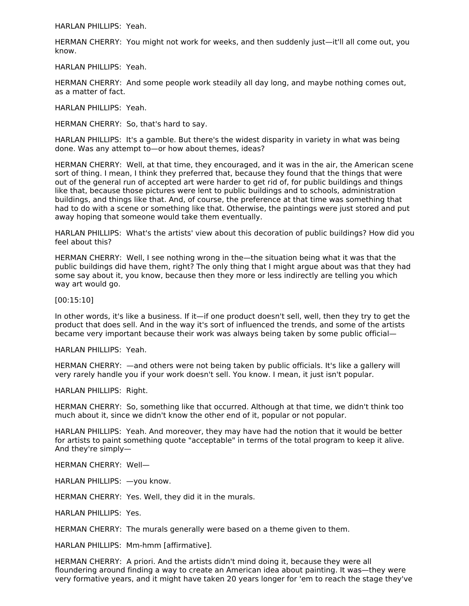HARLAN PHILLIPS: Yeah.

HERMAN CHERRY: You might not work for weeks, and then suddenly just—it'll all come out, you know.

HARLAN PHILLIPS: Yeah.

HERMAN CHERRY: And some people work steadily all day long, and maybe nothing comes out, as a matter of fact.

HARLAN PHILLIPS: Yeah.

HERMAN CHERRY: So, that's hard to say.

HARLAN PHILLIPS: It's a gamble. But there's the widest disparity in variety in what was being done. Was any attempt to—or how about themes, ideas?

HERMAN CHERRY: Well, at that time, they encouraged, and it was in the air, the American scene sort of thing. I mean, I think they preferred that, because they found that the things that were out of the general run of accepted art were harder to get rid of, for public buildings and things like that, because those pictures were lent to public buildings and to schools, administration buildings, and things like that. And, of course, the preference at that time was something that had to do with a scene or something like that. Otherwise, the paintings were just stored and put away hoping that someone would take them eventually.

HARLAN PHILLIPS: What's the artists' view about this decoration of public buildings? How did you feel about this?

HERMAN CHERRY: Well, I see nothing wrong in the—the situation being what it was that the public buildings did have them, right? The only thing that I might argue about was that they had some say about it, you know, because then they more or less indirectly are telling you which way art would go.

[00:15:10]

In other words, it's like a business. If it—if one product doesn't sell, well, then they try to get the product that does sell. And in the way it's sort of influenced the trends, and some of the artists became very important because their work was always being taken by some public official—

HARLAN PHILLIPS: Yeah.

HERMAN CHERRY: —and others were not being taken by public officials. It's like a gallery will very rarely handle you if your work doesn't sell. You know. I mean, it just isn't popular.

HARLAN PHILLIPS: Right.

HERMAN CHERRY: So, something like that occurred. Although at that time, we didn't think too much about it, since we didn't know the other end of it, popular or not popular.

HARLAN PHILLIPS: Yeah. And moreover, they may have had the notion that it would be better for artists to paint something quote "acceptable" in terms of the total program to keep it alive. And they're simply—

HERMAN CHERRY: Well—

HARLAN PHILLIPS: —you know.

HERMAN CHERRY: Yes. Well, they did it in the murals.

HARLAN PHILLIPS: Yes.

HERMAN CHERRY: The murals generally were based on a theme given to them.

HARLAN PHILLIPS: Mm-hmm [affirmative].

HERMAN CHERRY: A priori. And the artists didn't mind doing it, because they were all floundering around finding a way to create an American idea about painting. It was—they were very formative years, and it might have taken 20 years longer for 'em to reach the stage they've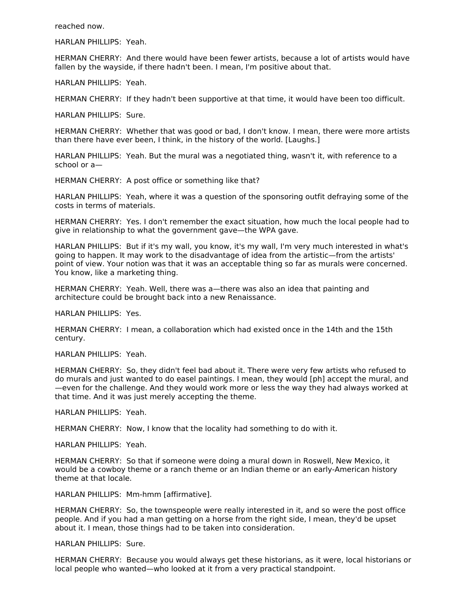reached now.

HARLAN PHILLIPS: Yeah.

HERMAN CHERRY: And there would have been fewer artists, because a lot of artists would have fallen by the wayside, if there hadn't been. I mean, I'm positive about that.

HARLAN PHILLIPS: Yeah.

HERMAN CHERRY: If they hadn't been supportive at that time, it would have been too difficult.

HARLAN PHILLIPS: Sure.

HERMAN CHERRY: Whether that was good or bad, I don't know. I mean, there were more artists than there have ever been, I think, in the history of the world. [Laughs.]

HARLAN PHILLIPS: Yeah. But the mural was a negotiated thing, wasn't it, with reference to a school or a—

HERMAN CHERRY: A post office or something like that?

HARLAN PHILLIPS: Yeah, where it was a question of the sponsoring outfit defraying some of the costs in terms of materials.

HERMAN CHERRY: Yes. I don't remember the exact situation, how much the local people had to give in relationship to what the government gave—the WPA gave.

HARLAN PHILLIPS: But if it's my wall, you know, it's my wall, I'm very much interested in what's going to happen. It may work to the disadvantage of idea from the artistic—from the artists' point of view. Your notion was that it was an acceptable thing so far as murals were concerned. You know, like a marketing thing.

HERMAN CHERRY: Yeah. Well, there was a—there was also an idea that painting and architecture could be brought back into a new Renaissance.

HARLAN PHILLIPS: Yes.

HERMAN CHERRY: I mean, a collaboration which had existed once in the 14th and the 15th century.

HARLAN PHILLIPS: Yeah.

HERMAN CHERRY: So, they didn't feel bad about it. There were very few artists who refused to do murals and just wanted to do easel paintings. I mean, they would [ph] accept the mural, and —even for the challenge. And they would work more or less the way they had always worked at that time. And it was just merely accepting the theme.

HARLAN PHILLIPS: Yeah.

HERMAN CHERRY: Now, I know that the locality had something to do with it.

HARLAN PHILLIPS: Yeah.

HERMAN CHERRY: So that if someone were doing a mural down in Roswell, New Mexico, it would be a cowboy theme or a ranch theme or an Indian theme or an early-American history theme at that locale.

HARLAN PHILLIPS: Mm-hmm [affirmative].

HERMAN CHERRY: So, the townspeople were really interested in it, and so were the post office people. And if you had a man getting on a horse from the right side, I mean, they'd be upset about it. I mean, those things had to be taken into consideration.

HARLAN PHILLIPS: Sure.

HERMAN CHERRY: Because you would always get these historians, as it were, local historians or local people who wanted—who looked at it from a very practical standpoint.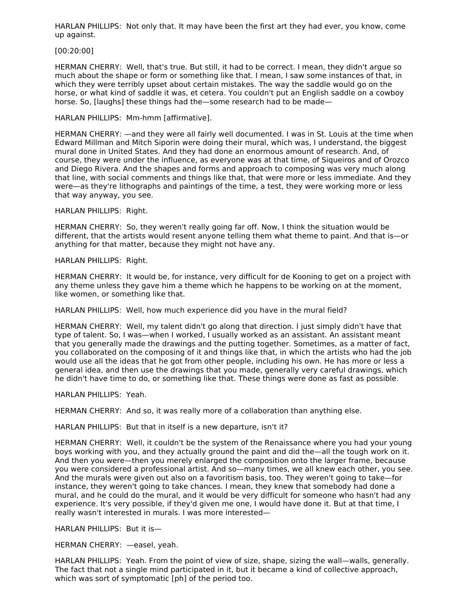HARLAN PHILLIPS: Not only that. It may have been the first art they had ever, you know, come up against.

#### [00:20:00]

HERMAN CHERRY: Well, that's true. But still, it had to be correct. I mean, they didn't argue so much about the shape or form or something like that. I mean, I saw some instances of that, in which they were terribly upset about certain mistakes. The way the saddle would go on the horse, or what kind of saddle it was, et cetera. You couldn't put an English saddle on a cowboy horse. So, [laughs] these things had the—some research had to be made—

HARLAN PHILLIPS: Mm-hmm [affirmative].

HERMAN CHERRY: —and they were all fairly well documented. I was in St. Louis at the time when Edward Millman and Mitch Siporin were doing their mural, which was, I understand, the biggest mural done in United States. And they had done an enormous amount of research. And, of course, they were under the influence, as everyone was at that time, of Siqueiros and of Orozco and Diego Rivera. And the shapes and forms and approach to composing was very much along that line, with social comments and things like that, that were more or less immediate. And they were—as they're lithographs and paintings of the time, a test, they were working more or less that way anyway, you see.

HARLAN PHILLIPS: Right.

HERMAN CHERRY: So, they weren't really going far off. Now, I think the situation would be different, that the artists would resent anyone telling them what theme to paint. And that is—or anything for that matter, because they might not have any.

HARLAN PHILLIPS: Right.

HERMAN CHERRY: It would be, for instance, very difficult for de Kooning to get on a project with any theme unless they gave him a theme which he happens to be working on at the moment, like women, or something like that.

HARLAN PHILLIPS: Well, how much experience did you have in the mural field?

HERMAN CHERRY: Well, my talent didn't go along that direction. I just simply didn't have that type of talent. So, I was—when I worked, I usually worked as an assistant. An assistant meant that you generally made the drawings and the putting together. Sometimes, as a matter of fact, you collaborated on the composing of it and things like that, in which the artists who had the job would use all the ideas that he got from other people, including his own. He has more or less a general idea, and then use the drawings that you made, generally very careful drawings, which he didn't have time to do, or something like that. These things were done as fast as possible.

HARLAN PHILLIPS: Yeah.

HERMAN CHERRY: And so, it was really more of a collaboration than anything else.

HARLAN PHILLIPS: But that in itself is a new departure, isn't it?

HERMAN CHERRY: Well, it couldn't be the system of the Renaissance where you had your young boys working with you, and they actually ground the paint and did the—all the tough work on it. And then you were—then you merely enlarged the composition onto the larger frame, because you were considered a professional artist. And so—many times, we all knew each other, you see. And the murals were given out also on a favoritism basis, too. They weren't going to take—for instance, they weren't going to take chances. I mean, they knew that somebody had done a mural, and he could do the mural, and it would be very difficult for someone who hasn't had any experience. It's very possible, if they'd given me one, I would have done it. But at that time, I really wasn't interested in murals. I was more interested—

HARLAN PHILLIPS: But it is—

HERMAN CHERRY: —easel, yeah.

HARLAN PHILLIPS: Yeah. From the point of view of size, shape, sizing the wall—walls, generally. The fact that not a single mind participated in it, but it became a kind of collective approach, which was sort of symptomatic [ph] of the period too.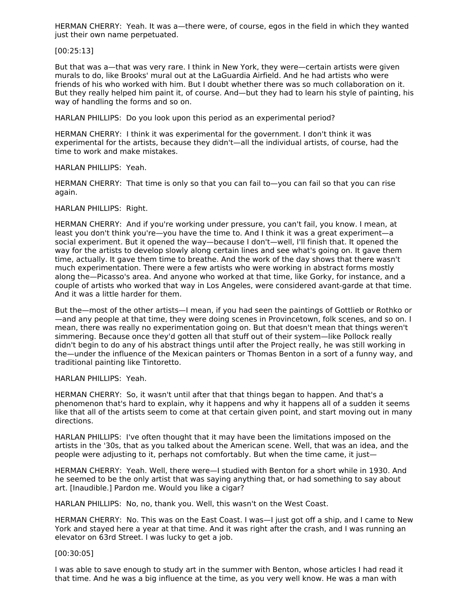HERMAN CHERRY: Yeah. It was a—there were, of course, egos in the field in which they wanted just their own name perpetuated.

## [00:25:13]

But that was a—that was very rare. I think in New York, they were—certain artists were given murals to do, like Brooks' mural out at the LaGuardia Airfield. And he had artists who were friends of his who worked with him. But I doubt whether there was so much collaboration on it. But they really helped him paint it, of course. And—but they had to learn his style of painting, his way of handling the forms and so on.

HARLAN PHILLIPS: Do you look upon this period as an experimental period?

HERMAN CHERRY: I think it was experimental for the government. I don't think it was experimental for the artists, because they didn't—all the individual artists, of course, had the time to work and make mistakes.

HARLAN PHILLIPS: Yeah.

HERMAN CHERRY: That time is only so that you can fail to—you can fail so that you can rise again.

#### HARLAN PHILLIPS: Right.

HERMAN CHERRY: And if you're working under pressure, you can't fail, you know. I mean, at least you don't think you're—you have the time to. And I think it was a great experiment—a social experiment. But it opened the way—because I don't—well, I'll finish that. It opened the way for the artists to develop slowly along certain lines and see what's going on. It gave them time, actually. It gave them time to breathe. And the work of the day shows that there wasn't much experimentation. There were a few artists who were working in abstract forms mostly along the—Picasso's area. And anyone who worked at that time, like Gorky, for instance, and a couple of artists who worked that way in Los Angeles, were considered avant-garde at that time. And it was a little harder for them.

But the—most of the other artists—I mean, if you had seen the paintings of Gottlieb or Rothko or —and any people at that time, they were doing scenes in Provincetown, folk scenes, and so on. I mean, there was really no experimentation going on. But that doesn't mean that things weren't simmering. Because once they'd gotten all that stuff out of their system—like Pollock really didn't begin to do any of his abstract things until after the Project really, he was still working in the—under the influence of the Mexican painters or Thomas Benton in a sort of a funny way, and traditional painting like Tintoretto.

#### HARLAN PHILLIPS: Yeah.

HERMAN CHERRY: So, it wasn't until after that that things began to happen. And that's a phenomenon that's hard to explain, why it happens and why it happens all of a sudden it seems like that all of the artists seem to come at that certain given point, and start moving out in many directions.

HARLAN PHILLIPS: I've often thought that it may have been the limitations imposed on the artists in the '30s, that as you talked about the American scene. Well, that was an idea, and the people were adjusting to it, perhaps not comfortably. But when the time came, it just—

HERMAN CHERRY: Yeah. Well, there were—I studied with Benton for a short while in 1930. And he seemed to be the only artist that was saying anything that, or had something to say about art. [Inaudible.] Pardon me. Would you like a cigar?

HARLAN PHILLIPS: No, no, thank you. Well, this wasn't on the West Coast.

HERMAN CHERRY: No. This was on the East Coast. I was—I just got off a ship, and I came to New York and stayed here a year at that time. And it was right after the crash, and I was running an elevator on 63rd Street. I was lucky to get a job.

#### [00:30:05]

I was able to save enough to study art in the summer with Benton, whose articles I had read it that time. And he was a big influence at the time, as you very well know. He was a man with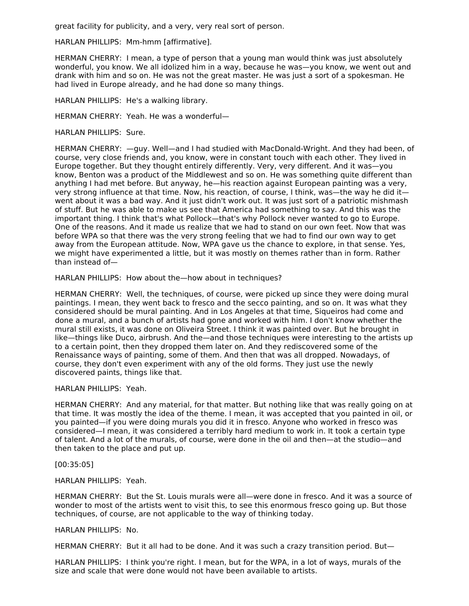great facility for publicity, and a very, very real sort of person.

HARLAN PHILLIPS: Mm-hmm [affirmative].

HERMAN CHERRY: I mean, a type of person that a young man would think was just absolutely wonderful, you know. We all idolized him in a way, because he was—you know, we went out and drank with him and so on. He was not the great master. He was just a sort of a spokesman. He had lived in Europe already, and he had done so many things.

HARLAN PHILLIPS: He's a walking library.

HERMAN CHERRY: Yeah. He was a wonderful—

HARLAN PHILLIPS: Sure.

HERMAN CHERRY: —guy. Well—and I had studied with MacDonald-Wright. And they had been, of course, very close friends and, you know, were in constant touch with each other. They lived in Europe together. But they thought entirely differently. Very, very different. And it was—you know, Benton was a product of the Middlewest and so on. He was something quite different than anything I had met before. But anyway, he—his reaction against European painting was a very, very strong influence at that time. Now, his reaction, of course, I think, was—the way he did it went about it was a bad way. And it just didn't work out. It was just sort of a patriotic mishmash of stuff. But he was able to make us see that America had something to say. And this was the important thing. I think that's what Pollock—that's why Pollock never wanted to go to Europe. One of the reasons. And it made us realize that we had to stand on our own feet. Now that was before WPA so that there was the very strong feeling that we had to find our own way to get away from the European attitude. Now, WPA gave us the chance to explore, in that sense. Yes, we might have experimented a little, but it was mostly on themes rather than in form. Rather than instead of—

HARLAN PHILLIPS: How about the—how about in techniques?

HERMAN CHERRY: Well, the techniques, of course, were picked up since they were doing mural paintings. I mean, they went back to fresco and the secco painting, and so on. It was what they considered should be mural painting. And in Los Angeles at that time, Siqueiros had come and done a mural, and a bunch of artists had gone and worked with him. I don't know whether the mural still exists, it was done on Oliveira Street. I think it was painted over. But he brought in like—things like Duco, airbrush. And the—and those techniques were interesting to the artists up to a certain point, then they dropped them later on. And they rediscovered some of the Renaissance ways of painting, some of them. And then that was all dropped. Nowadays, of course, they don't even experiment with any of the old forms. They just use the newly discovered paints, things like that.

HARLAN PHILLIPS: Yeah.

HERMAN CHERRY: And any material, for that matter. But nothing like that was really going on at that time. It was mostly the idea of the theme. I mean, it was accepted that you painted in oil, or you painted—if you were doing murals you did it in fresco. Anyone who worked in fresco was considered—I mean, it was considered a terribly hard medium to work in. It took a certain type of talent. And a lot of the murals, of course, were done in the oil and then—at the studio—and then taken to the place and put up.

[00:35:05]

HARLAN PHILLIPS: Yeah.

HERMAN CHERRY: But the St. Louis murals were all—were done in fresco. And it was a source of wonder to most of the artists went to visit this, to see this enormous fresco going up. But those techniques, of course, are not applicable to the way of thinking today.

## HARLAN PHILLIPS: No.

HERMAN CHERRY: But it all had to be done. And it was such a crazy transition period. But—

HARLAN PHILLIPS: I think you're right. I mean, but for the WPA, in a lot of ways, murals of the size and scale that were done would not have been available to artists.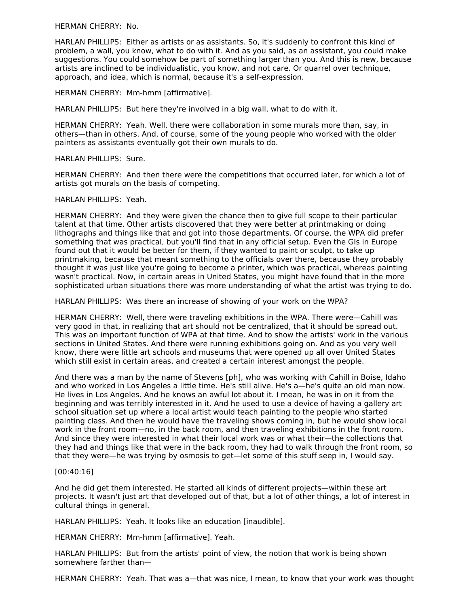HERMAN CHERRY: No.

HARLAN PHILLIPS: Either as artists or as assistants. So, it's suddenly to confront this kind of problem, a wall, you know, what to do with it. And as you said, as an assistant, you could make suggestions. You could somehow be part of something larger than you. And this is new, because artists are inclined to be individualistic, you know, and not care. Or quarrel over technique, approach, and idea, which is normal, because it's a self-expression.

HERMAN CHERRY: Mm-hmm [affirmative].

HARLAN PHILLIPS: But here they're involved in a big wall, what to do with it.

HERMAN CHERRY: Yeah. Well, there were collaboration in some murals more than, say, in others—than in others. And, of course, some of the young people who worked with the older painters as assistants eventually got their own murals to do.

HARLAN PHILLIPS: Sure.

HERMAN CHERRY: And then there were the competitions that occurred later, for which a lot of artists got murals on the basis of competing.

HARLAN PHILLIPS: Yeah.

HERMAN CHERRY: And they were given the chance then to give full scope to their particular talent at that time. Other artists discovered that they were better at printmaking or doing lithographs and things like that and got into those departments. Of course, the WPA did prefer something that was practical, but you'll find that in any official setup. Even the GIs in Europe found out that it would be better for them, if they wanted to paint or sculpt, to take up printmaking, because that meant something to the officials over there, because they probably thought it was just like you're going to become a printer, which was practical, whereas painting wasn't practical. Now, in certain areas in United States, you might have found that in the more sophisticated urban situations there was more understanding of what the artist was trying to do.

HARLAN PHILLIPS: Was there an increase of showing of your work on the WPA?

HERMAN CHERRY: Well, there were traveling exhibitions in the WPA. There were—Cahill was very good in that, in realizing that art should not be centralized, that it should be spread out. This was an important function of WPA at that time. And to show the artists' work in the various sections in United States. And there were running exhibitions going on. And as you very well know, there were little art schools and museums that were opened up all over United States which still exist in certain areas, and created a certain interest amongst the people.

And there was a man by the name of Stevens [ph], who was working with Cahill in Boise, Idaho and who worked in Los Angeles a little time. He's still alive. He's a—he's quite an old man now. He lives in Los Angeles. And he knows an awful lot about it. I mean, he was in on it from the beginning and was terribly interested in it. And he used to use a device of having a gallery art school situation set up where a local artist would teach painting to the people who started painting class. And then he would have the traveling shows coming in, but he would show local work in the front room—no, in the back room, and then traveling exhibitions in the front room. And since they were interested in what their local work was or what their—the collections that they had and things like that were in the back room, they had to walk through the front room, so that they were—he was trying by osmosis to get—let some of this stuff seep in, I would say.

[00:40:16]

And he did get them interested. He started all kinds of different projects—within these art projects. It wasn't just art that developed out of that, but a lot of other things, a lot of interest in cultural things in general.

HARLAN PHILLIPS: Yeah. It looks like an education [inaudible].

HERMAN CHERRY: Mm-hmm [affirmative]. Yeah.

HARLAN PHILLIPS: But from the artists' point of view, the notion that work is being shown somewhere farther than—

HERMAN CHERRY: Yeah. That was a—that was nice, I mean, to know that your work was thought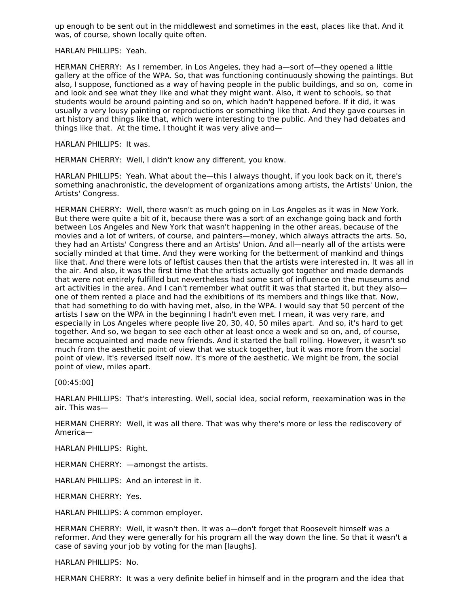up enough to be sent out in the middlewest and sometimes in the east, places like that. And it was, of course, shown locally quite often.

HARLAN PHILLIPS: Yeah.

HERMAN CHERRY: As I remember, in Los Angeles, they had a—sort of—they opened a little gallery at the office of the WPA. So, that was functioning continuously showing the paintings. But also, I suppose, functioned as a way of having people in the public buildings, and so on, come in and look and see what they like and what they might want. Also, it went to schools, so that students would be around painting and so on, which hadn't happened before. If it did, it was usually a very lousy painting or reproductions or something like that. And they gave courses in art history and things like that, which were interesting to the public. And they had debates and things like that. At the time, I thought it was very alive and—

HARLAN PHILLIPS: It was.

HERMAN CHERRY: Well, I didn't know any different, you know.

HARLAN PHILLIPS: Yeah. What about the—this I always thought, if you look back on it, there's something anachronistic, the development of organizations among artists, the Artists' Union, the Artists' Congress.

HERMAN CHERRY: Well, there wasn't as much going on in Los Angeles as it was in New York. But there were quite a bit of it, because there was a sort of an exchange going back and forth between Los Angeles and New York that wasn't happening in the other areas, because of the movies and a lot of writers, of course, and painters—money, which always attracts the arts. So, they had an Artists' Congress there and an Artists' Union. And all—nearly all of the artists were socially minded at that time. And they were working for the betterment of mankind and things like that. And there were lots of leftist causes then that the artists were interested in. It was all in the air. And also, it was the first time that the artists actually got together and made demands that were not entirely fulfilled but nevertheless had some sort of influence on the museums and art activities in the area. And I can't remember what outfit it was that started it, but they also one of them rented a place and had the exhibitions of its members and things like that. Now, that had something to do with having met, also, in the WPA. I would say that 50 percent of the artists I saw on the WPA in the beginning I hadn't even met. I mean, it was very rare, and especially in Los Angeles where people live 20, 30, 40, 50 miles apart. And so, it's hard to get together. And so, we began to see each other at least once a week and so on, and, of course, became acquainted and made new friends. And it started the ball rolling. However, it wasn't so much from the aesthetic point of view that we stuck together, but it was more from the social point of view. It's reversed itself now. It's more of the aesthetic. We might be from, the social point of view, miles apart.

[00:45:00]

HARLAN PHILLIPS: That's interesting. Well, social idea, social reform, reexamination was in the air. This was—

HERMAN CHERRY: Well, it was all there. That was why there's more or less the rediscovery of America—

HARLAN PHILLIPS: Right.

HERMAN CHERRY: —amongst the artists.

HARLAN PHILLIPS: And an interest in it.

HERMAN CHERRY: Yes.

HARLAN PHILLIPS: A common employer.

HERMAN CHERRY: Well, it wasn't then. It was a—don't forget that Roosevelt himself was a reformer. And they were generally for his program all the way down the line. So that it wasn't a case of saving your job by voting for the man [laughs].

HARLAN PHILLIPS: No.

HERMAN CHERRY: It was a very definite belief in himself and in the program and the idea that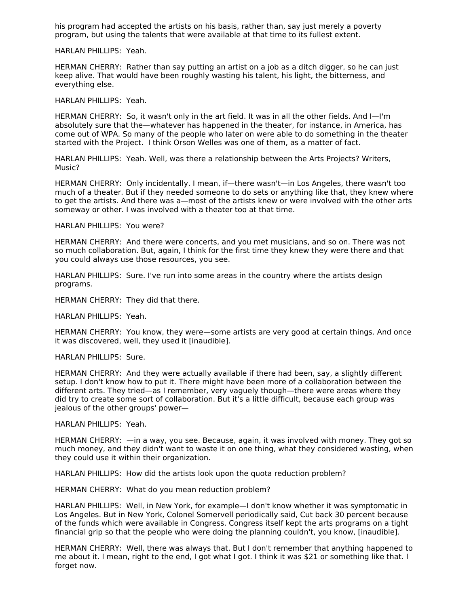his program had accepted the artists on his basis, rather than, say just merely a poverty program, but using the talents that were available at that time to its fullest extent.

HARLAN PHILLIPS: Yeah.

HERMAN CHERRY: Rather than say putting an artist on a job as a ditch digger, so he can just keep alive. That would have been roughly wasting his talent, his light, the bitterness, and everything else.

HARLAN PHILLIPS: Yeah.

HERMAN CHERRY: So, it wasn't only in the art field. It was in all the other fields. And I—I'm absolutely sure that the—whatever has happened in the theater, for instance, in America, has come out of WPA. So many of the people who later on were able to do something in the theater started with the Project. I think Orson Welles was one of them, as a matter of fact.

HARLAN PHILLIPS: Yeah. Well, was there a relationship between the Arts Projects? Writers, Music?

HERMAN CHERRY: Only incidentally. I mean, if—there wasn't—in Los Angeles, there wasn't too much of a theater. But if they needed someone to do sets or anything like that, they knew where to get the artists. And there was a—most of the artists knew or were involved with the other arts someway or other. I was involved with a theater too at that time.

HARLAN PHILLIPS: You were?

HERMAN CHERRY: And there were concerts, and you met musicians, and so on. There was not so much collaboration. But, again, I think for the first time they knew they were there and that you could always use those resources, you see.

HARLAN PHILLIPS: Sure. I've run into some areas in the country where the artists design programs.

HERMAN CHERRY: They did that there.

HARLAN PHILLIPS: Yeah.

HERMAN CHERRY: You know, they were—some artists are very good at certain things. And once it was discovered, well, they used it [inaudible].

HARLAN PHILLIPS: Sure.

HERMAN CHERRY: And they were actually available if there had been, say, a slightly different setup. I don't know how to put it. There might have been more of a collaboration between the different arts. They tried—as I remember, very vaguely though—there were areas where they did try to create some sort of collaboration. But it's a little difficult, because each group was jealous of the other groups' power—

HARLAN PHILLIPS: Yeah.

HERMAN CHERRY: —in a way, you see. Because, again, it was involved with money. They got so much money, and they didn't want to waste it on one thing, what they considered wasting, when they could use it within their organization.

HARLAN PHILLIPS: How did the artists look upon the quota reduction problem?

HERMAN CHERRY: What do you mean reduction problem?

HARLAN PHILLIPS: Well, in New York, for example—I don't know whether it was symptomatic in Los Angeles. But in New York, Colonel Somervell periodically said, Cut back 30 percent because of the funds which were available in Congress. Congress itself kept the arts programs on a tight financial grip so that the people who were doing the planning couldn't, you know, [inaudible].

HERMAN CHERRY: Well, there was always that. But I don't remember that anything happened to me about it. I mean, right to the end, I got what I got. I think it was \$21 or something like that. I forget now.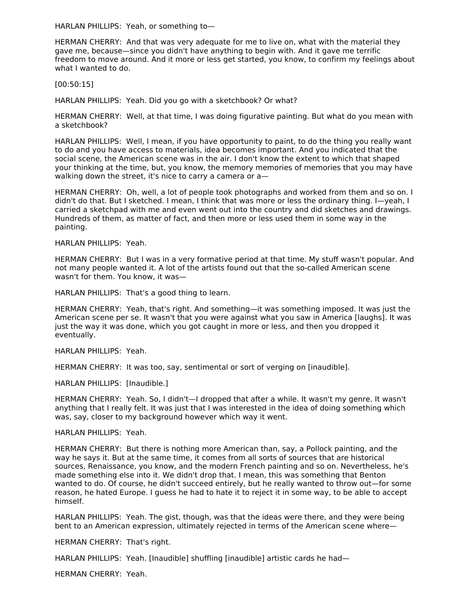HARLAN PHILLIPS: Yeah, or something to—

HERMAN CHERRY: And that was very adequate for me to live on, what with the material they gave me, because—since you didn't have anything to begin with. And it gave me terrific freedom to move around. And it more or less get started, you know, to confirm my feelings about what I wanted to do.

[00:50:15]

HARLAN PHILLIPS: Yeah. Did you go with a sketchbook? Or what?

HERMAN CHERRY: Well, at that time, I was doing figurative painting. But what do you mean with a sketchbook?

HARLAN PHILLIPS: Well, I mean, if you have opportunity to paint, to do the thing you really want to do and you have access to materials, idea becomes important. And you indicated that the social scene, the American scene was in the air. I don't know the extent to which that shaped your thinking at the time, but, you know, the memory memories of memories that you may have walking down the street, it's nice to carry a camera or a—

HERMAN CHERRY: Oh, well, a lot of people took photographs and worked from them and so on. I didn't do that. But I sketched. I mean, I think that was more or less the ordinary thing. I—yeah, I carried a sketchpad with me and even went out into the country and did sketches and drawings. Hundreds of them, as matter of fact, and then more or less used them in some way in the painting.

HARLAN PHILLIPS: Yeah.

HERMAN CHERRY: But I was in a very formative period at that time. My stuff wasn't popular. And not many people wanted it. A lot of the artists found out that the so-called American scene wasn't for them. You know, it was—

HARLAN PHILLIPS: That's a good thing to learn.

HERMAN CHERRY: Yeah, that's right. And something—it was something imposed. It was just the American scene per se. It wasn't that you were against what you saw in America [laughs]. It was just the way it was done, which you got caught in more or less, and then you dropped it eventually.

HARLAN PHILLIPS: Yeah.

HERMAN CHERRY: It was too, say, sentimental or sort of verging on [inaudible].

HARLAN PHILLIPS: [Inaudible.]

HERMAN CHERRY: Yeah. So, I didn't—I dropped that after a while. It wasn't my genre. It wasn't anything that I really felt. It was just that I was interested in the idea of doing something which was, say, closer to my background however which way it went.

HARLAN PHILLIPS: Yeah.

HERMAN CHERRY: But there is nothing more American than, say, a Pollock painting, and the way he says it. But at the same time, it comes from all sorts of sources that are historical sources, Renaissance, you know, and the modern French painting and so on. Nevertheless, he's made something else into it. We didn't drop that. I mean, this was something that Benton wanted to do. Of course, he didn't succeed entirely, but he really wanted to throw out—for some reason, he hated Europe. I guess he had to hate it to reject it in some way, to be able to accept himself.

HARLAN PHILLIPS: Yeah. The gist, though, was that the ideas were there, and they were being bent to an American expression, ultimately rejected in terms of the American scene where—

HERMAN CHERRY: That's right.

HARLAN PHILLIPS: Yeah. [Inaudible] shuffling [inaudible] artistic cards he had—

HERMAN CHERRY: Yeah.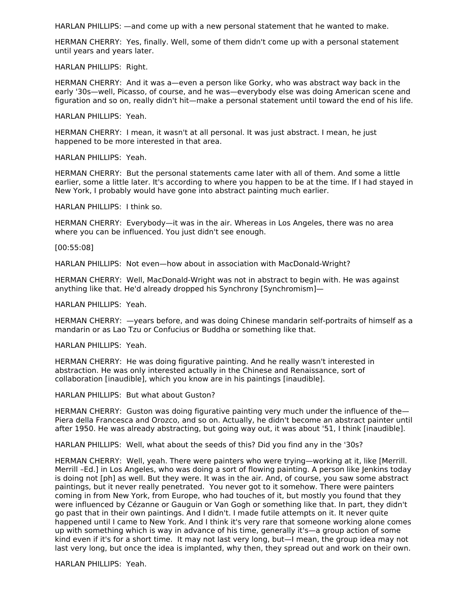HARLAN PHILLIPS: —and come up with a new personal statement that he wanted to make.

HERMAN CHERRY: Yes, finally. Well, some of them didn't come up with a personal statement until years and years later.

HARLAN PHILLIPS: Right.

HERMAN CHERRY: And it was a—even a person like Gorky, who was abstract way back in the early '30s—well, Picasso, of course, and he was—everybody else was doing American scene and figuration and so on, really didn't hit—make a personal statement until toward the end of his life.

HARLAN PHILLIPS: Yeah.

HERMAN CHERRY: I mean, it wasn't at all personal. It was just abstract. I mean, he just happened to be more interested in that area.

HARLAN PHILLIPS: Yeah.

HERMAN CHERRY: But the personal statements came later with all of them. And some a little earlier, some a little later. It's according to where you happen to be at the time. If I had stayed in New York, I probably would have gone into abstract painting much earlier.

HARLAN PHILLIPS: I think so.

HERMAN CHERRY: Everybody—it was in the air. Whereas in Los Angeles, there was no area where you can be influenced. You just didn't see enough.

[00:55:08]

HARLAN PHILLIPS: Not even—how about in association with MacDonald-Wright?

HERMAN CHERRY: Well, MacDonald-Wright was not in abstract to begin with. He was against anything like that. He'd already dropped his Synchrony [Synchromism]—

HARLAN PHILLIPS: Yeah.

HERMAN CHERRY: —years before, and was doing Chinese mandarin self-portraits of himself as a mandarin or as Lao Tzu or Confucius or Buddha or something like that.

HARLAN PHILLIPS: Yeah.

HERMAN CHERRY: He was doing figurative painting. And he really wasn't interested in abstraction. He was only interested actually in the Chinese and Renaissance, sort of collaboration [inaudible], which you know are in his paintings [inaudible].

HARLAN PHILLIPS: But what about Guston?

HERMAN CHERRY: Guston was doing figurative painting very much under the influence of the-Piera della Francesca and Orozco, and so on. Actually, he didn't become an abstract painter until after 1950. He was already abstracting, but going way out, it was about '51, I think [inaudible].

HARLAN PHILLIPS: Well, what about the seeds of this? Did you find any in the '30s?

HERMAN CHERRY: Well, yeah. There were painters who were trying—working at it, like [Merrill. Merrill –Ed.] in Los Angeles, who was doing a sort of flowing painting. A person like Jenkins today is doing not [ph] as well. But they were. It was in the air. And, of course, you saw some abstract paintings, but it never really penetrated. You never got to it somehow. There were painters coming in from New York, from Europe, who had touches of it, but mostly you found that they were influenced by Cézanne or Gauguin or Van Gogh or something like that. In part, they didn't go past that in their own paintings. And I didn't. I made futile attempts on it. It never quite happened until I came to New York. And I think it's very rare that someone working alone comes up with something which is way in advance of his time, generally it's—a group action of some kind even if it's for a short time. It may not last very long, but—I mean, the group idea may not last very long, but once the idea is implanted, why then, they spread out and work on their own.

HARLAN PHILLIPS: Yeah.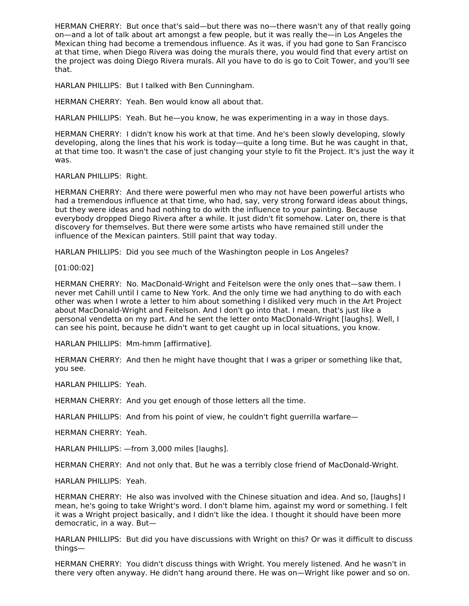HERMAN CHERRY: But once that's said—but there was no—there wasn't any of that really going on—and a lot of talk about art amongst a few people, but it was really the—in Los Angeles the Mexican thing had become a tremendous influence. As it was, if you had gone to San Francisco at that time, when Diego Rivera was doing the murals there, you would find that every artist on the project was doing Diego Rivera murals. All you have to do is go to Coit Tower, and you'll see that.

HARLAN PHILLIPS: But I talked with Ben Cunningham.

HERMAN CHERRY: Yeah. Ben would know all about that.

HARLAN PHILLIPS: Yeah. But he—you know, he was experimenting in a way in those days.

HERMAN CHERRY: I didn't know his work at that time. And he's been slowly developing, slowly developing, along the lines that his work is today—quite a long time. But he was caught in that, at that time too. It wasn't the case of just changing your style to fit the Project. It's just the way it was.

HARLAN PHILLIPS: Right.

HERMAN CHERRY: And there were powerful men who may not have been powerful artists who had a tremendous influence at that time, who had, say, very strong forward ideas about things, but they were ideas and had nothing to do with the influence to your painting. Because everybody dropped Diego Rivera after a while. It just didn't fit somehow. Later on, there is that discovery for themselves. But there were some artists who have remained still under the influence of the Mexican painters. Still paint that way today.

HARLAN PHILLIPS: Did you see much of the Washington people in Los Angeles?

[01:00:02]

HERMAN CHERRY: No. MacDonald-Wright and Feitelson were the only ones that—saw them. I never met Cahill until I came to New York. And the only time we had anything to do with each other was when I wrote a letter to him about something I disliked very much in the Art Project about MacDonald-Wright and Feitelson. And I don't go into that. I mean, that's just like a personal vendetta on my part. And he sent the letter onto MacDonald-Wright [laughs]. Well, I can see his point, because he didn't want to get caught up in local situations, you know.

HARLAN PHILLIPS: Mm-hmm [affirmative].

HERMAN CHERRY: And then he might have thought that I was a griper or something like that, you see.

HARLAN PHILLIPS: Yeah.

HERMAN CHERRY: And you get enough of those letters all the time.

HARLAN PHILLIPS: And from his point of view, he couldn't fight guerrilla warfare—

HERMAN CHERRY: Yeah.

HARLAN PHILLIPS: —from 3,000 miles [laughs].

HERMAN CHERRY: And not only that. But he was a terribly close friend of MacDonald-Wright.

HARLAN PHILLIPS: Yeah.

HERMAN CHERRY: He also was involved with the Chinese situation and idea. And so, [laughs] I mean, he's going to take Wright's word. I don't blame him, against my word or something. I felt it was a Wright project basically, and I didn't like the idea. I thought it should have been more democratic, in a way. But—

HARLAN PHILLIPS: But did you have discussions with Wright on this? Or was it difficult to discuss things—

HERMAN CHERRY: You didn't discuss things with Wright. You merely listened. And he wasn't in there very often anyway. He didn't hang around there. He was on—Wright like power and so on.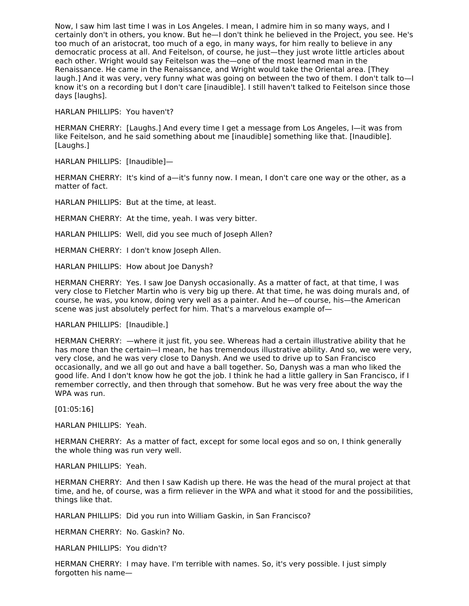Now, I saw him last time I was in Los Angeles. I mean, I admire him in so many ways, and I certainly don't in others, you know. But he—I don't think he believed in the Project, you see. He's too much of an aristocrat, too much of a ego, in many ways, for him really to believe in any democratic process at all. And Feitelson, of course, he just—they just wrote little articles about each other. Wright would say Feitelson was the—one of the most learned man in the Renaissance. He came in the Renaissance, and Wright would take the Oriental area. [They laugh.] And it was very, very funny what was going on between the two of them. I don't talk to—I know it's on a recording but I don't care [inaudible]. I still haven't talked to Feitelson since those days [laughs].

HARLAN PHILLIPS: You haven't?

HERMAN CHERRY: [Laughs.] And every time I get a message from Los Angeles, I—it was from like Feitelson, and he said something about me [inaudible] something like that. [Inaudible]. [Laughs.]

HARLAN PHILLIPS: [Inaudible]—

HERMAN CHERRY: It's kind of a—it's funny now. I mean, I don't care one way or the other, as a matter of fact.

HARLAN PHILLIPS: But at the time, at least.

HERMAN CHERRY: At the time, yeah. I was very bitter.

HARLAN PHILLIPS: Well, did you see much of Joseph Allen?

HERMAN CHERRY: I don't know Joseph Allen.

HARLAN PHILLIPS: How about Joe Danysh?

HERMAN CHERRY: Yes. I saw Joe Danysh occasionally. As a matter of fact, at that time, I was very close to Fletcher Martin who is very big up there. At that time, he was doing murals and, of course, he was, you know, doing very well as a painter. And he—of course, his—the American scene was just absolutely perfect for him. That's a marvelous example of—

HARLAN PHILLIPS: [Inaudible.]

HERMAN CHERRY: —where it just fit, you see. Whereas had a certain illustrative ability that he has more than the certain—I mean, he has tremendous illustrative ability. And so, we were very, very close, and he was very close to Danysh. And we used to drive up to San Francisco occasionally, and we all go out and have a ball together. So, Danysh was a man who liked the good life. And I don't know how he got the job. I think he had a little gallery in San Francisco, if I remember correctly, and then through that somehow. But he was very free about the way the WPA was run.

[01:05:16]

HARLAN PHILLIPS: Yeah.

HERMAN CHERRY: As a matter of fact, except for some local egos and so on, I think generally the whole thing was run very well.

HARLAN PHILLIPS: Yeah.

HERMAN CHERRY: And then I saw Kadish up there. He was the head of the mural project at that time, and he, of course, was a firm reliever in the WPA and what it stood for and the possibilities, things like that.

HARLAN PHILLIPS: Did you run into William Gaskin, in San Francisco?

HERMAN CHERRY: No. Gaskin? No.

HARLAN PHILLIPS: You didn't?

HERMAN CHERRY: I may have. I'm terrible with names. So, it's very possible. I just simply forgotten his name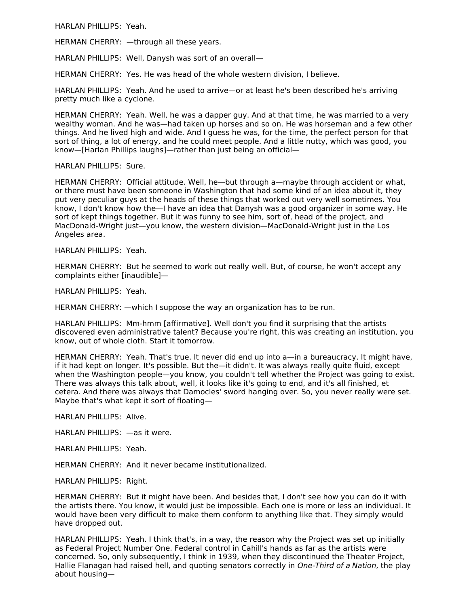HARLAN PHILLIPS: Yeah.

HERMAN CHERRY: —through all these years.

HARLAN PHILLIPS: Well, Danysh was sort of an overall—

HERMAN CHERRY: Yes. He was head of the whole western division, I believe.

HARLAN PHILLIPS: Yeah. And he used to arrive—or at least he's been described he's arriving pretty much like a cyclone.

HERMAN CHERRY: Yeah. Well, he was a dapper guy. And at that time, he was married to a very wealthy woman. And he was—had taken up horses and so on. He was horseman and a few other things. And he lived high and wide. And I guess he was, for the time, the perfect person for that sort of thing, a lot of energy, and he could meet people. And a little nutty, which was good, you know—[Harlan Phillips laughs]—rather than just being an official—

HARLAN PHILLIPS: Sure.

HERMAN CHERRY: Official attitude. Well, he—but through a—maybe through accident or what, or there must have been someone in Washington that had some kind of an idea about it, they put very peculiar guys at the heads of these things that worked out very well sometimes. You know, I don't know how the—I have an idea that Danysh was a good organizer in some way. He sort of kept things together. But it was funny to see him, sort of, head of the project, and MacDonald-Wright just—you know, the western division—MacDonald-Wright just in the Los Angeles area.

HARLAN PHILLIPS: Yeah.

HERMAN CHERRY: But he seemed to work out really well. But, of course, he won't accept any complaints either [inaudible]—

HARLAN PHILLIPS: Yeah.

HERMAN CHERRY: —which I suppose the way an organization has to be run.

HARLAN PHILLIPS: Mm-hmm [affirmative]. Well don't you find it surprising that the artists discovered even administrative talent? Because you're right, this was creating an institution, you know, out of whole cloth. Start it tomorrow.

HERMAN CHERRY: Yeah. That's true. It never did end up into a—in a bureaucracy. It might have, if it had kept on longer. It's possible. But the—it didn't. It was always really quite fluid, except when the Washington people—you know, you couldn't tell whether the Project was going to exist. There was always this talk about, well, it looks like it's going to end, and it's all finished, et cetera. And there was always that Damocles' sword hanging over. So, you never really were set. Maybe that's what kept it sort of floating—

HARLAN PHILLIPS: Alive.

HARLAN PHILLIPS: —as it were.

HARLAN PHILLIPS: Yeah.

HERMAN CHERRY: And it never became institutionalized.

HARLAN PHILLIPS: Right.

HERMAN CHERRY: But it might have been. And besides that, I don't see how you can do it with the artists there. You know, it would just be impossible. Each one is more or less an individual. It would have been very difficult to make them conform to anything like that. They simply would have dropped out.

HARLAN PHILLIPS: Yeah. I think that's, in a way, the reason why the Project was set up initially as Federal Project Number One. Federal control in Cahill's hands as far as the artists were concerned. So, only subsequently, I think in 1939, when they discontinued the Theater Project, Hallie Flanagan had raised hell, and quoting senators correctly in One-Third of a Nation, the play about housing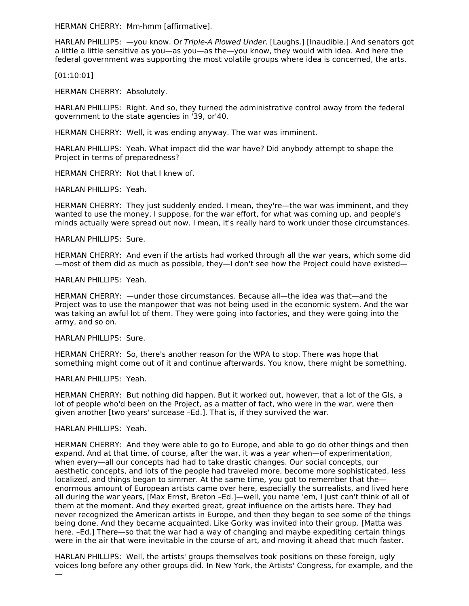HERMAN CHERRY: Mm-hmm [affirmative].

HARLAN PHILLIPS:  $-$ you know. Or Triple-A Plowed Under. [Laughs.] [Inaudible.] And senators got a little a little sensitive as you—as you—as the—you know, they would with idea. And here the federal government was supporting the most volatile groups where idea is concerned, the arts.

[01:10:01]

HERMAN CHERRY: Absolutely.

HARLAN PHILLIPS: Right. And so, they turned the administrative control away from the federal government to the state agencies in '39, or'40.

HERMAN CHERRY: Well, it was ending anyway. The war was imminent.

HARLAN PHILLIPS: Yeah. What impact did the war have? Did anybody attempt to shape the Project in terms of preparedness?

HERMAN CHERRY: Not that I knew of.

HARLAN PHILLIPS: Yeah.

HERMAN CHERRY: They just suddenly ended. I mean, they're—the war was imminent, and they wanted to use the money, I suppose, for the war effort, for what was coming up, and people's minds actually were spread out now. I mean, it's really hard to work under those circumstances.

HARLAN PHILLIPS: Sure.

HERMAN CHERRY: And even if the artists had worked through all the war years, which some did —most of them did as much as possible, they—I don't see how the Project could have existed—

HARLAN PHILLIPS: Yeah.

HERMAN CHERRY: —under those circumstances. Because all—the idea was that—and the Project was to use the manpower that was not being used in the economic system. And the war was taking an awful lot of them. They were going into factories, and they were going into the army, and so on.

HARLAN PHILLIPS: Sure.

HERMAN CHERRY: So, there's another reason for the WPA to stop. There was hope that something might come out of it and continue afterwards. You know, there might be something.

HARLAN PHILLIPS: Yeah.

HERMAN CHERRY: But nothing did happen. But it worked out, however, that a lot of the GIs, a lot of people who'd been on the Project, as a matter of fact, who were in the war, were then given another [two years' surcease –Ed.]. That is, if they survived the war.

#### HARLAN PHILLIPS: Yeah.

—

HERMAN CHERRY: And they were able to go to Europe, and able to go do other things and then expand. And at that time, of course, after the war, it was a year when—of experimentation, when every—all our concepts had had to take drastic changes. Our social concepts, our aesthetic concepts, and lots of the people had traveled more, become more sophisticated, less localized, and things began to simmer. At the same time, you got to remember that the enormous amount of European artists came over here, especially the surrealists, and lived here all during the war years, [Max Ernst, Breton –Ed.]—well, you name 'em, I just can't think of all of them at the moment. And they exerted great, great influence on the artists here. They had never recognized the American artists in Europe, and then they began to see some of the things being done. And they became acquainted. Like Gorky was invited into their group. [Matta was here. –Ed.] There—so that the war had a way of changing and maybe expediting certain things were in the air that were inevitable in the course of art, and moving it ahead that much faster.

HARLAN PHILLIPS: Well, the artists' groups themselves took positions on these foreign, ugly voices long before any other groups did. In New York, the Artists' Congress, for example, and the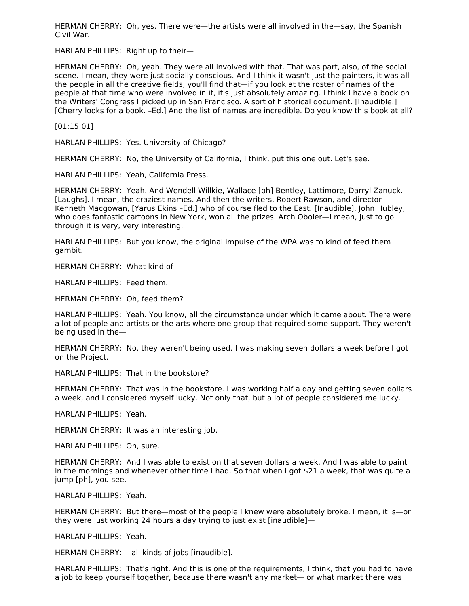HERMAN CHERRY: Oh, yes. There were—the artists were all involved in the—say, the Spanish Civil War.

HARLAN PHILLIPS: Right up to their—

HERMAN CHERRY: Oh, yeah. They were all involved with that. That was part, also, of the social scene. I mean, they were just socially conscious. And I think it wasn't just the painters, it was all the people in all the creative fields, you'll find that—if you look at the roster of names of the people at that time who were involved in it, it's just absolutely amazing. I think I have a book on the Writers' Congress I picked up in San Francisco. A sort of historical document. [Inaudible.] [Cherry looks for a book. –Ed.] And the list of names are incredible. Do you know this book at all?

[01:15:01]

HARLAN PHILLIPS: Yes. University of Chicago?

HERMAN CHERRY: No, the University of California, I think, put this one out. Let's see.

HARLAN PHILLIPS: Yeah, California Press.

HERMAN CHERRY: Yeah. And Wendell Willkie, Wallace [ph] Bentley, Lattimore, Darryl Zanuck. [Laughs]. I mean, the craziest names. And then the writers, Robert Rawson, and director Kenneth Macgowan, [Yarus Ekins –Ed.] who of course fled to the East. [Inaudible], John Hubley, who does fantastic cartoons in New York, won all the prizes. Arch Oboler—I mean, just to go through it is very, very interesting.

HARLAN PHILLIPS: But you know, the original impulse of the WPA was to kind of feed them gambit.

HERMAN CHERRY: What kind of—

HARLAN PHILLIPS: Feed them.

HERMAN CHERRY: Oh, feed them?

HARLAN PHILLIPS: Yeah. You know, all the circumstance under which it came about. There were a lot of people and artists or the arts where one group that required some support. They weren't being used in the—

HERMAN CHERRY: No, they weren't being used. I was making seven dollars a week before I got on the Project.

HARLAN PHILLIPS: That in the bookstore?

HERMAN CHERRY: That was in the bookstore. I was working half a day and getting seven dollars a week, and I considered myself lucky. Not only that, but a lot of people considered me lucky.

HARLAN PHILLIPS: Yeah.

HERMAN CHERRY: It was an interesting job.

HARLAN PHILLIPS: Oh, sure.

HERMAN CHERRY: And I was able to exist on that seven dollars a week. And I was able to paint in the mornings and whenever other time I had. So that when I got \$21 a week, that was quite a jump [ph], you see.

HARLAN PHILLIPS: Yeah.

HERMAN CHERRY: But there—most of the people I knew were absolutely broke. I mean, it is—or they were just working 24 hours a day trying to just exist [inaudible]—

HARLAN PHILLIPS: Yeah.

HERMAN CHERRY: —all kinds of jobs [inaudible].

HARLAN PHILLIPS: That's right. And this is one of the requirements, I think, that you had to have a job to keep yourself together, because there wasn't any market— or what market there was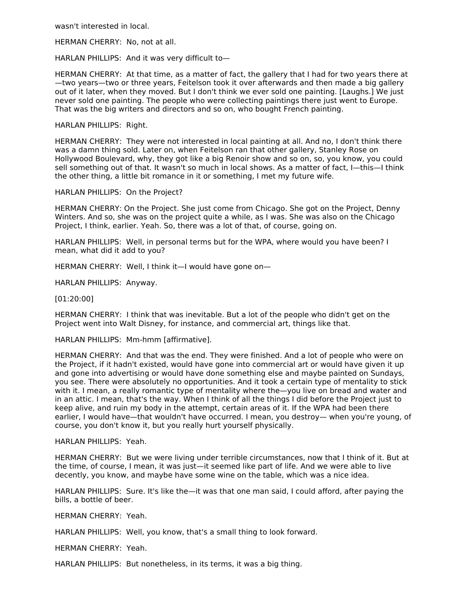wasn't interested in local.

HERMAN CHERRY: No, not at all.

HARLAN PHILLIPS: And it was very difficult to—

HERMAN CHERRY: At that time, as a matter of fact, the gallery that I had for two years there at —two years—two or three years, Feitelson took it over afterwards and then made a big gallery out of it later, when they moved. But I don't think we ever sold one painting. [Laughs.] We just never sold one painting. The people who were collecting paintings there just went to Europe. That was the big writers and directors and so on, who bought French painting.

#### HARLAN PHILLIPS: Right.

HERMAN CHERRY: They were not interested in local painting at all. And no, I don't think there was a damn thing sold. Later on, when Feitelson ran that other gallery, Stanley Rose on Hollywood Boulevard, why, they got like a big Renoir show and so on, so, you know, you could sell something out of that. It wasn't so much in local shows. As a matter of fact, I—this—I think the other thing, a little bit romance in it or something, I met my future wife.

#### HARLAN PHILLIPS: On the Project?

HERMAN CHERRY: On the Project. She just come from Chicago. She got on the Project, Denny Winters. And so, she was on the project quite a while, as I was. She was also on the Chicago Project, I think, earlier. Yeah. So, there was a lot of that, of course, going on.

HARLAN PHILLIPS: Well, in personal terms but for the WPA, where would you have been? I mean, what did it add to you?

HERMAN CHERRY: Well, I think it—I would have gone on—

HARLAN PHILLIPS: Anyway.

[01:20:00]

HERMAN CHERRY: I think that was inevitable. But a lot of the people who didn't get on the Project went into Walt Disney, for instance, and commercial art, things like that.

HARLAN PHILLIPS: Mm-hmm [affirmative].

HERMAN CHERRY: And that was the end. They were finished. And a lot of people who were on the Project, if it hadn't existed, would have gone into commercial art or would have given it up and gone into advertising or would have done something else and maybe painted on Sundays, you see. There were absolutely no opportunities. And it took a certain type of mentality to stick with it. I mean, a really romantic type of mentality where the—you live on bread and water and in an attic. I mean, that's the way. When I think of all the things I did before the Project just to keep alive, and ruin my body in the attempt, certain areas of it. If the WPA had been there earlier, I would have—that wouldn't have occurred. I mean, you destroy— when you're young, of course, you don't know it, but you really hurt yourself physically.

## HARLAN PHILLIPS: Yeah.

HERMAN CHERRY: But we were living under terrible circumstances, now that I think of it. But at the time, of course, I mean, it was just—it seemed like part of life. And we were able to live decently, you know, and maybe have some wine on the table, which was a nice idea.

HARLAN PHILLIPS: Sure. It's like the—it was that one man said, I could afford, after paying the bills, a bottle of beer.

#### HERMAN CHERRY: Yeah.

HARLAN PHILLIPS: Well, you know, that's a small thing to look forward.

HERMAN CHERRY: Yeah.

HARLAN PHILLIPS: But nonetheless, in its terms, it was a big thing.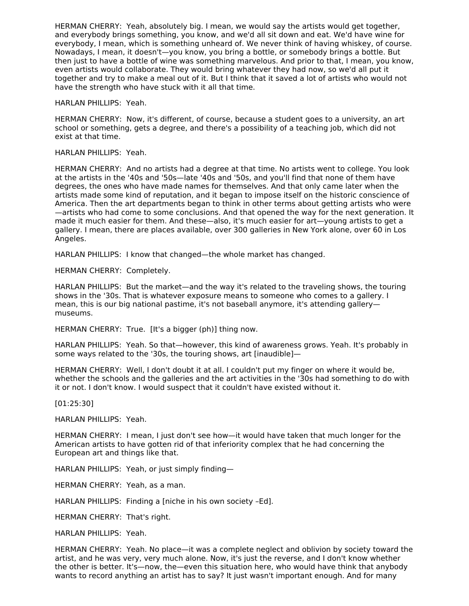HERMAN CHERRY: Yeah, absolutely big. I mean, we would say the artists would get together, and everybody brings something, you know, and we'd all sit down and eat. We'd have wine for everybody, I mean, which is something unheard of. We never think of having whiskey, of course. Nowadays, I mean, it doesn't—you know, you bring a bottle, or somebody brings a bottle. But then just to have a bottle of wine was something marvelous. And prior to that, I mean, you know, even artists would collaborate. They would bring whatever they had now, so we'd all put it together and try to make a meal out of it. But I think that it saved a lot of artists who would not have the strength who have stuck with it all that time.

HARLAN PHILLIPS: Yeah.

HERMAN CHERRY: Now, it's different, of course, because a student goes to a university, an art school or something, gets a degree, and there's a possibility of a teaching job, which did not exist at that time.

## HARLAN PHILLIPS: Yeah.

HERMAN CHERRY: And no artists had a degree at that time. No artists went to college. You look at the artists in the '40s and '50s—late '40s and '50s, and you'll find that none of them have degrees, the ones who have made names for themselves. And that only came later when the artists made some kind of reputation, and it began to impose itself on the historic conscience of America. Then the art departments began to think in other terms about getting artists who were —artists who had come to some conclusions. And that opened the way for the next generation. It made it much easier for them. And these—also, it's much easier for art—young artists to get a gallery. I mean, there are places available, over 300 galleries in New York alone, over 60 in Los Angeles.

HARLAN PHILLIPS: I know that changed—the whole market has changed.

HERMAN CHERRY: Completely.

HARLAN PHILLIPS: But the market—and the way it's related to the traveling shows, the touring shows in the '30s. That is whatever exposure means to someone who comes to a gallery. I mean, this is our big national pastime, it's not baseball anymore, it's attending gallery museums.

HERMAN CHERRY: True. [It's a bigger (ph)] thing now.

HARLAN PHILLIPS: Yeah. So that—however, this kind of awareness grows. Yeah. It's probably in some ways related to the '30s, the touring shows, art [inaudible]—

HERMAN CHERRY: Well, I don't doubt it at all. I couldn't put my finger on where it would be, whether the schools and the galleries and the art activities in the '30s had something to do with it or not. I don't know. I would suspect that it couldn't have existed without it.

#### [01:25:30]

HARLAN PHILLIPS: Yeah.

HERMAN CHERRY: I mean, I just don't see how—it would have taken that much longer for the American artists to have gotten rid of that inferiority complex that he had concerning the European art and things like that.

HARLAN PHILLIPS: Yeah, or just simply finding—

HERMAN CHERRY: Yeah, as a man.

HARLAN PHILLIPS: Finding a [niche in his own society –Ed].

HERMAN CHERRY: That's right.

HARLAN PHILLIPS: Yeah.

HERMAN CHERRY: Yeah. No place—it was a complete neglect and oblivion by society toward the artist, and he was very, very much alone. Now, it's just the reverse, and I don't know whether the other is better. It's—now, the—even this situation here, who would have think that anybody wants to record anything an artist has to say? It just wasn't important enough. And for many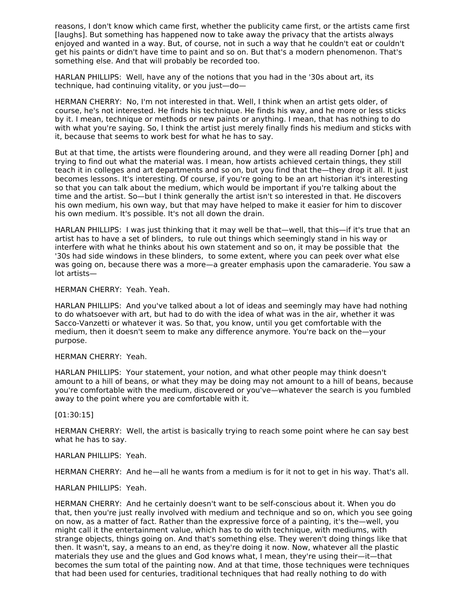reasons, I don't know which came first, whether the publicity came first, or the artists came first [laughs]. But something has happened now to take away the privacy that the artists always enjoyed and wanted in a way. But, of course, not in such a way that he couldn't eat or couldn't get his paints or didn't have time to paint and so on. But that's a modern phenomenon. That's something else. And that will probably be recorded too.

HARLAN PHILLIPS: Well, have any of the notions that you had in the '30s about art, its technique, had continuing vitality, or you just—do—

HERMAN CHERRY: No, I'm not interested in that. Well, I think when an artist gets older, of course, he's not interested. He finds his technique. He finds his way, and he more or less sticks by it. I mean, technique or methods or new paints or anything. I mean, that has nothing to do with what you're saying. So, I think the artist just merely finally finds his medium and sticks with it, because that seems to work best for what he has to say.

But at that time, the artists were floundering around, and they were all reading Dorner [ph] and trying to find out what the material was. I mean, how artists achieved certain things, they still teach it in colleges and art departments and so on, but you find that the—they drop it all. It just becomes lessons. It's interesting. Of course, if you're going to be an art historian it's interesting so that you can talk about the medium, which would be important if you're talking about the time and the artist. So—but I think generally the artist isn't so interested in that. He discovers his own medium, his own way, but that may have helped to make it easier for him to discover his own medium. It's possible. It's not all down the drain.

HARLAN PHILLIPS: I was just thinking that it may well be that—well, that this—if it's true that an artist has to have a set of blinders, to rule out things which seemingly stand in his way or interfere with what he thinks about his own statement and so on, it may be possible that the '30s had side windows in these blinders, to some extent, where you can peek over what else was going on, because there was a more—a greater emphasis upon the camaraderie. You saw a lot artists—

#### HERMAN CHERRY: Yeah. Yeah.

HARLAN PHILLIPS: And you've talked about a lot of ideas and seemingly may have had nothing to do whatsoever with art, but had to do with the idea of what was in the air, whether it was Sacco-Vanzetti or whatever it was. So that, you know, until you get comfortable with the medium, then it doesn't seem to make any difference anymore. You're back on the—your purpose.

#### HERMAN CHERRY: Yeah.

HARLAN PHILLIPS: Your statement, your notion, and what other people may think doesn't amount to a hill of beans, or what they may be doing may not amount to a hill of beans, because you're comfortable with the medium, discovered or you've—whatever the search is you fumbled away to the point where you are comfortable with it.

#### [01:30:15]

HERMAN CHERRY: Well, the artist is basically trying to reach some point where he can say best what he has to say.

#### HARLAN PHILLIPS: Yeah.

HERMAN CHERRY: And he—all he wants from a medium is for it not to get in his way. That's all.

## HARLAN PHILLIPS: Yeah.

HERMAN CHERRY: And he certainly doesn't want to be self-conscious about it. When you do that, then you're just really involved with medium and technique and so on, which you see going on now, as a matter of fact. Rather than the expressive force of a painting, it's the—well, you might call it the entertainment value, which has to do with technique, with mediums, with strange objects, things going on. And that's something else. They weren't doing things like that then. It wasn't, say, a means to an end, as they're doing it now. Now, whatever all the plastic materials they use and the glues and God knows what, I mean, they're using their—it—that becomes the sum total of the painting now. And at that time, those techniques were techniques that had been used for centuries, traditional techniques that had really nothing to do with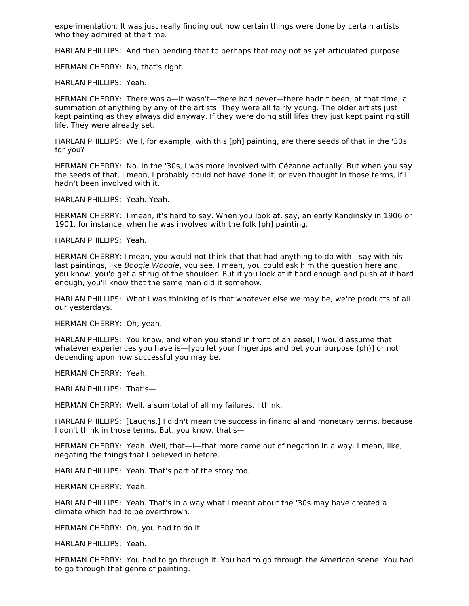experimentation. It was just really finding out how certain things were done by certain artists who they admired at the time.

HARLAN PHILLIPS: And then bending that to perhaps that may not as yet articulated purpose.

HERMAN CHERRY: No, that's right.

HARLAN PHILLIPS: Yeah.

HERMAN CHERRY: There was a—it wasn't—there had never—there hadn't been, at that time, a summation of anything by any of the artists. They were all fairly young. The older artists just kept painting as they always did anyway. If they were doing still lifes they just kept painting still life. They were already set.

HARLAN PHILLIPS: Well, for example, with this [ph] painting, are there seeds of that in the '30s for you?

HERMAN CHERRY: No. In the '30s, I was more involved with Cézanne actually. But when you say the seeds of that, I mean, I probably could not have done it, or even thought in those terms, if I hadn't been involved with it.

HARLAN PHILLIPS: Yeah. Yeah.

HERMAN CHERRY: I mean, it's hard to say. When you look at, say, an early Kandinsky in 1906 or 1901, for instance, when he was involved with the folk [ph] painting.

HARLAN PHILLIPS: Yeah.

HERMAN CHERRY: I mean, you would not think that that had anything to do with—say with his last paintings, like Boogie Woogie, you see. I mean, you could ask him the question here and, you know, you'd get a shrug of the shoulder. But if you look at it hard enough and push at it hard enough, you'll know that the same man did it somehow.

HARLAN PHILLIPS: What I was thinking of is that whatever else we may be, we're products of all our yesterdays.

HERMAN CHERRY: Oh, yeah.

HARLAN PHILLIPS: You know, and when you stand in front of an easel, I would assume that whatever experiences you have is—[you let your fingertips and bet your purpose (ph)] or not depending upon how successful you may be.

HERMAN CHERRY: Yeah.

HARLAN PHILLIPS: That's—

HERMAN CHERRY: Well, a sum total of all my failures, I think.

HARLAN PHILLIPS: [Laughs.] I didn't mean the success in financial and monetary terms, because I don't think in those terms. But, you know, that's—

HERMAN CHERRY: Yeah. Well, that—I—that more came out of negation in a way. I mean, like, negating the things that I believed in before.

HARLAN PHILLIPS: Yeah. That's part of the story too.

HERMAN CHERRY: Yeah.

HARLAN PHILLIPS: Yeah. That's in a way what I meant about the '30s may have created a climate which had to be overthrown.

HERMAN CHERRY: Oh, you had to do it.

HARLAN PHILLIPS: Yeah.

HERMAN CHERRY: You had to go through it. You had to go through the American scene. You had to go through that genre of painting.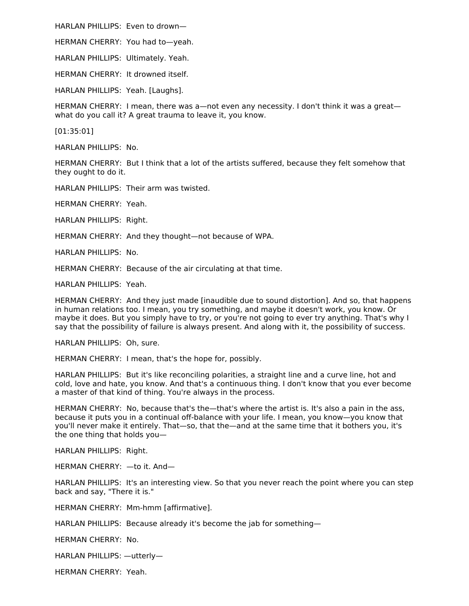HARLAN PHILLIPS: Even to drown—

HERMAN CHERRY: You had to—yeah.

HARLAN PHILLIPS: Ultimately. Yeah.

HERMAN CHERRY: It drowned itself.

HARLAN PHILLIPS: Yeah. [Laughs].

HERMAN CHERRY: I mean, there was a—not even any necessity. I don't think it was a great what do you call it? A great trauma to leave it, you know.

[01:35:01]

HARLAN PHILLIPS: No.

HERMAN CHERRY: But I think that a lot of the artists suffered, because they felt somehow that they ought to do it.

HARLAN PHILLIPS: Their arm was twisted.

HERMAN CHERRY: Yeah.

HARLAN PHILLIPS: Right.

HERMAN CHERRY: And they thought—not because of WPA.

HARLAN PHILLIPS: No.

HERMAN CHERRY: Because of the air circulating at that time.

HARLAN PHILLIPS: Yeah.

HERMAN CHERRY: And they just made [inaudible due to sound distortion]. And so, that happens in human relations too. I mean, you try something, and maybe it doesn't work, you know. Or maybe it does. But you simply have to try, or you're not going to ever try anything. That's why I say that the possibility of failure is always present. And along with it, the possibility of success.

HARLAN PHILLIPS: Oh, sure.

HERMAN CHERRY: I mean, that's the hope for, possibly.

HARLAN PHILLIPS: But it's like reconciling polarities, a straight line and a curve line, hot and cold, love and hate, you know. And that's a continuous thing. I don't know that you ever become a master of that kind of thing. You're always in the process.

HERMAN CHERRY: No, because that's the—that's where the artist is. It's also a pain in the ass, because it puts you in a continual off-balance with your life. I mean, you know—you know that you'll never make it entirely. That—so, that the—and at the same time that it bothers you, it's the one thing that holds you—

HARLAN PHILLIPS: Right.

HERMAN CHERRY: —to it. And—

HARLAN PHILLIPS: It's an interesting view. So that you never reach the point where you can step back and say, "There it is."

HERMAN CHERRY: Mm-hmm [affirmative].

HARLAN PHILLIPS: Because already it's become the jab for something—

HERMAN CHERRY: No.

HARLAN PHILLIPS: —utterly—

HERMAN CHERRY: Yeah.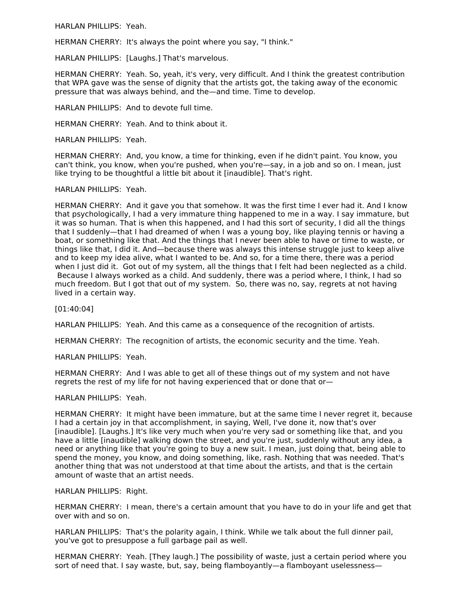HARLAN PHILLIPS: Yeah.

HERMAN CHERRY: It's always the point where you say, "I think."

HARLAN PHILLIPS: [Laughs.] That's marvelous.

HERMAN CHERRY: Yeah. So, yeah, it's very, very difficult. And I think the greatest contribution that WPA gave was the sense of dignity that the artists got, the taking away of the economic pressure that was always behind, and the—and time. Time to develop.

HARLAN PHILLIPS: And to devote full time.

HERMAN CHERRY: Yeah. And to think about it.

HARLAN PHILLIPS: Yeah.

HERMAN CHERRY: And, you know, a time for thinking, even if he didn't paint. You know, you can't think, you know, when you're pushed, when you're—say, in a job and so on. I mean, just like trying to be thoughtful a little bit about it [inaudible]. That's right.

## HARLAN PHILLIPS: Yeah.

HERMAN CHERRY: And it gave you that somehow. It was the first time I ever had it. And I know that psychologically, I had a very immature thing happened to me in a way. I say immature, but it was so human. That is when this happened, and I had this sort of security, I did all the things that I suddenly—that I had dreamed of when I was a young boy, like playing tennis or having a boat, or something like that. And the things that I never been able to have or time to waste, or things like that, I did it. And—because there was always this intense struggle just to keep alive and to keep my idea alive, what I wanted to be. And so, for a time there, there was a period when I just did it. Got out of my system, all the things that I felt had been neglected as a child. Because I always worked as a child. And suddenly, there was a period where, I think, I had so much freedom. But I got that out of my system. So, there was no, say, regrets at not having lived in a certain way.

[01:40:04]

HARLAN PHILLIPS: Yeah. And this came as a consequence of the recognition of artists.

HERMAN CHERRY: The recognition of artists, the economic security and the time. Yeah.

HARLAN PHILLIPS: Yeah.

HERMAN CHERRY: And I was able to get all of these things out of my system and not have regrets the rest of my life for not having experienced that or done that or—

#### HARLAN PHILLIPS: Yeah.

HERMAN CHERRY: It might have been immature, but at the same time I never regret it, because I had a certain joy in that accomplishment, in saying, Well, I've done it, now that's over [inaudible]. [Laughs.] It's like very much when you're very sad or something like that, and you have a little [inaudible] walking down the street, and you're just, suddenly without any idea, a need or anything like that you're going to buy a new suit. I mean, just doing that, being able to spend the money, you know, and doing something, like, rash. Nothing that was needed. That's another thing that was not understood at that time about the artists, and that is the certain amount of waste that an artist needs.

HARLAN PHILLIPS: Right.

HERMAN CHERRY: I mean, there's a certain amount that you have to do in your life and get that over with and so on.

HARLAN PHILLIPS: That's the polarity again, I think. While we talk about the full dinner pail, you've got to presuppose a full garbage pail as well.

HERMAN CHERRY: Yeah. [They laugh.] The possibility of waste, just a certain period where you sort of need that. I say waste, but, say, being flamboyantly—a flamboyant uselessness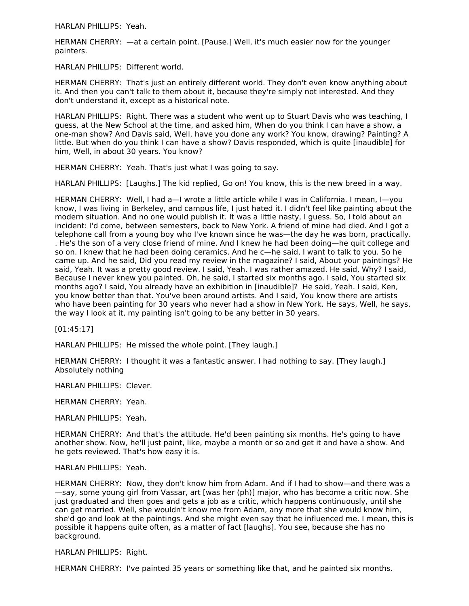HARLAN PHILLIPS: Yeah.

HERMAN CHERRY: —at a certain point. [Pause.] Well, it's much easier now for the younger painters.

HARLAN PHILLIPS: Different world.

HERMAN CHERRY: That's just an entirely different world. They don't even know anything about it. And then you can't talk to them about it, because they're simply not interested. And they don't understand it, except as a historical note.

HARLAN PHILLIPS: Right. There was a student who went up to Stuart Davis who was teaching, I guess, at the New School at the time, and asked him, When do you think I can have a show, a one-man show? And Davis said, Well, have you done any work? You know, drawing? Painting? A little. But when do you think I can have a show? Davis responded, which is quite [inaudible] for him, Well, in about 30 years. You know?

HERMAN CHERRY: Yeah. That's just what I was going to say.

HARLAN PHILLIPS: [Laughs.] The kid replied, Go on! You know, this is the new breed in a way.

HERMAN CHERRY: Well, I had a—I wrote a little article while I was in California. I mean, I—you know, I was living in Berkeley, and campus life, I just hated it. I didn't feel like painting about the modern situation. And no one would publish it. It was a little nasty, I guess. So, I told about an incident: I'd come, between semesters, back to New York. A friend of mine had died. And I got a telephone call from a young boy who I've known since he was—the day he was born, practically. . He's the son of a very close friend of mine. And I knew he had been doing—he quit college and so on. I knew that he had been doing ceramics. And he c—he said, I want to talk to you. So he came up. And he said, Did you read my review in the magazine? I said, About your paintings? He said, Yeah. It was a pretty good review. I said, Yeah. I was rather amazed. He said, Why? I said, Because I never knew you painted. Oh, he said, I started six months ago. I said, You started six months ago? I said, You already have an exhibition in [inaudible]? He said, Yeah. I said, Ken, you know better than that. You've been around artists. And I said, You know there are artists who have been painting for 30 years who never had a show in New York. He says, Well, he says, the way I look at it, my painting isn't going to be any better in 30 years.

[01:45:17]

HARLAN PHILLIPS: He missed the whole point. [They laugh.]

HERMAN CHERRY: I thought it was a fantastic answer. I had nothing to say. [They laugh.] Absolutely nothing

HARLAN PHILLIPS: Clever.

HERMAN CHERRY: Yeah.

HARLAN PHILLIPS: Yeah.

HERMAN CHERRY: And that's the attitude. He'd been painting six months. He's going to have another show. Now, he'll just paint, like, maybe a month or so and get it and have a show. And he gets reviewed. That's how easy it is.

HARLAN PHILLIPS: Yeah.

HERMAN CHERRY: Now, they don't know him from Adam. And if I had to show—and there was a —say, some young girl from Vassar, art [was her (ph)] major, who has become a critic now. She just graduated and then goes and gets a job as a critic, which happens continuously, until she can get married. Well, she wouldn't know me from Adam, any more that she would know him, she'd go and look at the paintings. And she might even say that he influenced me. I mean, this is possible it happens quite often, as a matter of fact [laughs]. You see, because she has no background.

HARLAN PHILLIPS: Right.

HERMAN CHERRY: I've painted 35 years or something like that, and he painted six months.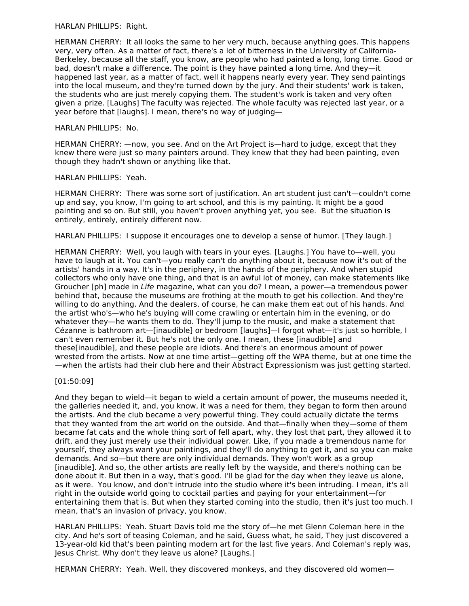## HARLAN PHILLIPS: Right.

HERMAN CHERRY: It all looks the same to her very much, because anything goes. This happens very, very often. As a matter of fact, there's a lot of bitterness in the University of California-Berkeley, because all the staff, you know, are people who had painted a long, long time. Good or bad, doesn't make a difference. The point is they have painted a long time. And they—it happened last year, as a matter of fact, well it happens nearly every year. They send paintings into the local museum, and they're turned down by the jury. And their students' work is taken, the students who are just merely copying them. The student's work is taken and very often given a prize. [Laughs] The faculty was rejected. The whole faculty was rejected last year, or a year before that [laughs]. I mean, there's no way of judging—

## HARLAN PHILLIPS: No.

HERMAN CHERRY: —now, you see. And on the Art Project is—hard to judge, except that they knew there were just so many painters around. They knew that they had been painting, even though they hadn't shown or anything like that.

## HARLAN PHILLIPS: Yeah.

HERMAN CHERRY: There was some sort of justification. An art student just can't—couldn't come up and say, you know, I'm going to art school, and this is my painting. It might be a good painting and so on. But still, you haven't proven anything yet, you see. But the situation is entirely, entirely, entirely different now.

HARLAN PHILLIPS: I suppose it encourages one to develop a sense of humor. [They laugh.]

HERMAN CHERRY: Well, you laugh with tears in your eyes. [Laughs.] You have to—well, you have to laugh at it. You can't—you really can't do anything about it, because now it's out of the artists' hands in a way. It's in the periphery, in the hands of the periphery. And when stupid collectors who only have one thing, and that is an awful lot of money, can make statements like Groucher [ph] made in Life magazine, what can you do? I mean, a power—a tremendous power behind that, because the museums are frothing at the mouth to get his collection. And they're willing to do anything. And the dealers, of course, he can make them eat out of his hands. And the artist who's—who he's buying will come crawling or entertain him in the evening, or do whatever they—he wants them to do. They'll jump to the music, and make a statement that Cézanne is bathroom art—[inaudible] or bedroom [laughs]—I forgot what—it's just so horrible, I can't even remember it. But he's not the only one. I mean, these [inaudible] and these[inaudible], and these people are idiots. And there's an enormous amount of power wrested from the artists. Now at one time artist—getting off the WPA theme, but at one time the —when the artists had their club here and their Abstract Expressionism was just getting started.

## [01:50:09]

And they began to wield—it began to wield a certain amount of power, the museums needed it, the galleries needed it, and, you know, it was a need for them, they began to form then around the artists. And the club became a very powerful thing. They could actually dictate the terms that they wanted from the art world on the outside. And that—finally when they—some of them became fat cats and the whole thing sort of fell apart, why, they lost that part, they allowed it to drift, and they just merely use their individual power. Like, if you made a tremendous name for yourself, they always want your paintings, and they'll do anything to get it, and so you can make demands. And so—but there are only individual demands. They won't work as a group [inaudible]. And so, the other artists are really left by the wayside, and there's nothing can be done about it. But then in a way, that's good. I'll be glad for the day when they leave us alone, as it were. You know, and don't intrude into the studio where it's been intruding. I mean, it's all right in the outside world going to cocktail parties and paying for your entertainment—for entertaining them that is. But when they started coming into the studio, then it's just too much. I mean, that's an invasion of privacy, you know.

HARLAN PHILLIPS: Yeah. Stuart Davis told me the story of—he met Glenn Coleman here in the city. And he's sort of teasing Coleman, and he said, Guess what, he said, They just discovered a 13-year-old kid that's been painting modern art for the last five years. And Coleman's reply was, Jesus Christ. Why don't they leave us alone? [Laughs.]

HERMAN CHERRY: Yeah. Well, they discovered monkeys, and they discovered old women—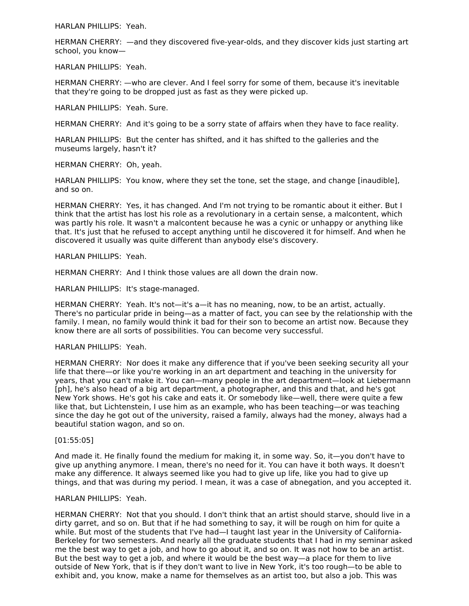HARLAN PHILLIPS: Yeah.

HERMAN CHERRY: —and they discovered five-year-olds, and they discover kids just starting art school, you know—

HARLAN PHILLIPS: Yeah.

HERMAN CHERRY: —who are clever. And I feel sorry for some of them, because it's inevitable that they're going to be dropped just as fast as they were picked up.

HARLAN PHILLIPS: Yeah. Sure.

HERMAN CHERRY: And it's going to be a sorry state of affairs when they have to face reality.

HARLAN PHILLIPS: But the center has shifted, and it has shifted to the galleries and the museums largely, hasn't it?

HERMAN CHERRY: Oh, yeah.

HARLAN PHILLIPS: You know, where they set the tone, set the stage, and change [inaudible], and so on.

HERMAN CHERRY: Yes, it has changed. And I'm not trying to be romantic about it either. But I think that the artist has lost his role as a revolutionary in a certain sense, a malcontent, which was partly his role. It wasn't a malcontent because he was a cynic or unhappy or anything like that. It's just that he refused to accept anything until he discovered it for himself. And when he discovered it usually was quite different than anybody else's discovery.

HARLAN PHILLIPS: Yeah.

HERMAN CHERRY: And I think those values are all down the drain now.

HARLAN PHILLIPS: It's stage-managed.

HERMAN CHERRY: Yeah. It's not—it's a—it has no meaning, now, to be an artist, actually. There's no particular pride in being—as a matter of fact, you can see by the relationship with the family. I mean, no family would think it bad for their son to become an artist now. Because they know there are all sorts of possibilities. You can become very successful.

#### HARLAN PHILLIPS: Yeah.

HERMAN CHERRY: Nor does it make any difference that if you've been seeking security all your life that there—or like you're working in an art department and teaching in the university for years, that you can't make it. You can—many people in the art department—look at Liebermann [ph], he's also head of a big art department, a photographer, and this and that, and he's got New York shows. He's got his cake and eats it. Or somebody like—well, there were quite a few like that, but Lichtenstein, I use him as an example, who has been teaching—or was teaching since the day he got out of the university, raised a family, always had the money, always had a beautiful station wagon, and so on.

## [01:55:05]

And made it. He finally found the medium for making it, in some way. So, it—you don't have to give up anything anymore. I mean, there's no need for it. You can have it both ways. It doesn't make any difference. It always seemed like you had to give up life, like you had to give up things, and that was during my period. I mean, it was a case of abnegation, and you accepted it.

#### HARLAN PHILLIPS: Yeah.

HERMAN CHERRY: Not that you should. I don't think that an artist should starve, should live in a dirty garret, and so on. But that if he had something to say, it will be rough on him for quite a while. But most of the students that I've had—I taught last year in the University of California-Berkeley for two semesters. And nearly all the graduate students that I had in my seminar asked me the best way to get a job, and how to go about it, and so on. It was not how to be an artist. But the best way to get a job, and where it would be the best way—a place for them to live outside of New York, that is if they don't want to live in New York, it's too rough—to be able to exhibit and, you know, make a name for themselves as an artist too, but also a job. This was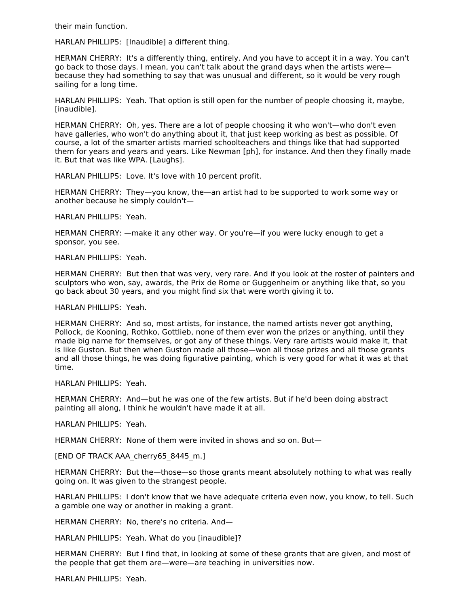their main function.

HARLAN PHILLIPS: [Inaudible] a different thing.

HERMAN CHERRY: It's a differently thing, entirely. And you have to accept it in a way. You can't go back to those days. I mean, you can't talk about the grand days when the artists were because they had something to say that was unusual and different, so it would be very rough sailing for a long time.

HARLAN PHILLIPS: Yeah. That option is still open for the number of people choosing it, maybe, [inaudible].

HERMAN CHERRY: Oh, yes. There are a lot of people choosing it who won't—who don't even have galleries, who won't do anything about it, that just keep working as best as possible. Of course, a lot of the smarter artists married schoolteachers and things like that had supported them for years and years and years. Like Newman [ph], for instance. And then they finally made it. But that was like WPA. [Laughs].

HARLAN PHILLIPS: Love. It's love with 10 percent profit.

HERMAN CHERRY: They—you know, the—an artist had to be supported to work some way or another because he simply couldn't—

HARLAN PHILLIPS: Yeah.

HERMAN CHERRY: —make it any other way. Or you're—if you were lucky enough to get a sponsor, you see.

HARLAN PHILLIPS: Yeah.

HERMAN CHERRY: But then that was very, very rare. And if you look at the roster of painters and sculptors who won, say, awards, the Prix de Rome or Guggenheim or anything like that, so you go back about 30 years, and you might find six that were worth giving it to.

HARLAN PHILLIPS: Yeah.

HERMAN CHERRY: And so, most artists, for instance, the named artists never got anything, Pollock, de Kooning, Rothko, Gottlieb, none of them ever won the prizes or anything, until they made big name for themselves, or got any of these things. Very rare artists would make it, that is like Guston. But then when Guston made all those—won all those prizes and all those grants and all those things, he was doing figurative painting, which is very good for what it was at that time.

HARLAN PHILLIPS: Yeah.

HERMAN CHERRY: And—but he was one of the few artists. But if he'd been doing abstract painting all along, I think he wouldn't have made it at all.

HARLAN PHILLIPS: Yeah.

HERMAN CHERRY: None of them were invited in shows and so on. But—

[END OF TRACK AAA\_cherry65\_8445\_m.]

HERMAN CHERRY: But the—those—so those grants meant absolutely nothing to what was really going on. It was given to the strangest people.

HARLAN PHILLIPS: I don't know that we have adequate criteria even now, you know, to tell. Such a gamble one way or another in making a grant.

HERMAN CHERRY: No, there's no criteria. And—

HARLAN PHILLIPS: Yeah. What do you [inaudible]?

HERMAN CHERRY: But I find that, in looking at some of these grants that are given, and most of the people that get them are—were—are teaching in universities now.

HARLAN PHILLIPS: Yeah.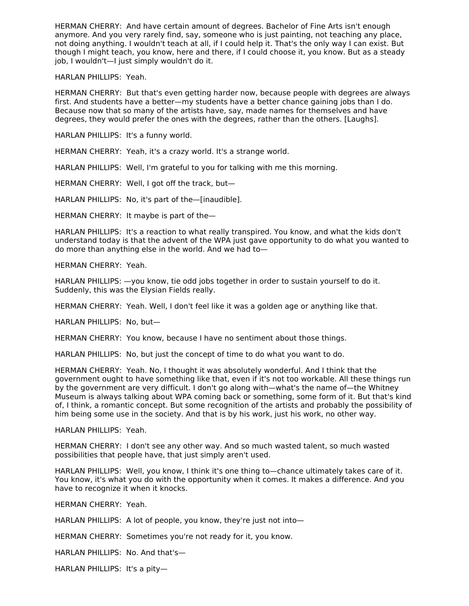HERMAN CHERRY: And have certain amount of degrees. Bachelor of Fine Arts isn't enough anymore. And you very rarely find, say, someone who is just painting, not teaching any place, not doing anything. I wouldn't teach at all, if I could help it. That's the only way I can exist. But though I might teach, you know, here and there, if I could choose it, you know. But as a steady job, I wouldn't—I just simply wouldn't do it.

HARLAN PHILLIPS: Yeah.

HERMAN CHERRY: But that's even getting harder now, because people with degrees are always first. And students have a better—my students have a better chance gaining jobs than I do. Because now that so many of the artists have, say, made names for themselves and have degrees, they would prefer the ones with the degrees, rather than the others. [Laughs].

HARLAN PHILLIPS: It's a funny world.

HERMAN CHERRY: Yeah, it's a crazy world. It's a strange world.

HARLAN PHILLIPS: Well, I'm grateful to you for talking with me this morning.

HERMAN CHERRY: Well, I got off the track, but—

HARLAN PHILLIPS: No, it's part of the—[inaudible].

HERMAN CHERRY: It maybe is part of the—

HARLAN PHILLIPS: It's a reaction to what really transpired. You know, and what the kids don't understand today is that the advent of the WPA just gave opportunity to do what you wanted to do more than anything else in the world. And we had to—

HERMAN CHERRY: Yeah.

HARLAN PHILLIPS: —you know, tie odd jobs together in order to sustain yourself to do it. Suddenly, this was the Elysian Fields really.

HERMAN CHERRY: Yeah. Well, I don't feel like it was a golden age or anything like that.

HARLAN PHILLIPS: No, but—

HERMAN CHERRY: You know, because I have no sentiment about those things.

HARLAN PHILLIPS: No, but just the concept of time to do what you want to do.

HERMAN CHERRY: Yeah. No, I thought it was absolutely wonderful. And I think that the government ought to have something like that, even if it's not too workable. All these things run by the government are very difficult. I don't go along with—what's the name of—the Whitney Museum is always talking about WPA coming back or something, some form of it. But that's kind of, I think, a romantic concept. But some recognition of the artists and probably the possibility of him being some use in the society. And that is by his work, just his work, no other way.

HARLAN PHILLIPS: Yeah.

HERMAN CHERRY: I don't see any other way. And so much wasted talent, so much wasted possibilities that people have, that just simply aren't used.

HARLAN PHILLIPS: Well, you know, I think it's one thing to—chance ultimately takes care of it. You know, it's what you do with the opportunity when it comes. It makes a difference. And you have to recognize it when it knocks.

HERMAN CHERRY: Yeah.

HARLAN PHILLIPS: A lot of people, you know, they're just not into—

HERMAN CHERRY: Sometimes you're not ready for it, you know.

HARLAN PHILLIPS: No. And that's—

HARLAN PHILLIPS: It's a pity—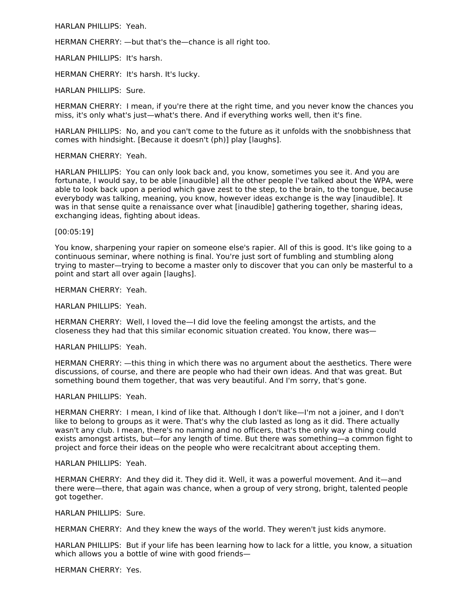HARLAN PHILLIPS: Yeah.

HERMAN CHERRY: —but that's the—chance is all right too.

HARLAN PHILLIPS: It's harsh.

HERMAN CHERRY: It's harsh. It's lucky.

HARLAN PHILLIPS: Sure.

HERMAN CHERRY: I mean, if you're there at the right time, and you never know the chances you miss, it's only what's just—what's there. And if everything works well, then it's fine.

HARLAN PHILLIPS: No, and you can't come to the future as it unfolds with the snobbishness that comes with hindsight. [Because it doesn't (ph)] play [laughs].

#### HERMAN CHERRY: Yeah.

HARLAN PHILLIPS: You can only look back and, you know, sometimes you see it. And you are fortunate, I would say, to be able [inaudible] all the other people I've talked about the WPA, were able to look back upon a period which gave zest to the step, to the brain, to the tongue, because everybody was talking, meaning, you know, however ideas exchange is the way [inaudible]. It was in that sense quite a renaissance over what [inaudible] gathering together, sharing ideas, exchanging ideas, fighting about ideas.

#### [00:05:19]

You know, sharpening your rapier on someone else's rapier. All of this is good. It's like going to a continuous seminar, where nothing is final. You're just sort of fumbling and stumbling along trying to master—trying to become a master only to discover that you can only be masterful to a point and start all over again [laughs].

HERMAN CHERRY: Yeah.

HARLAN PHILLIPS: Yeah.

HERMAN CHERRY: Well, I loved the—I did love the feeling amongst the artists, and the closeness they had that this similar economic situation created. You know, there was—

HARLAN PHILLIPS: Yeah.

HERMAN CHERRY: —this thing in which there was no argument about the aesthetics. There were discussions, of course, and there are people who had their own ideas. And that was great. But something bound them together, that was very beautiful. And I'm sorry, that's gone.

HARLAN PHILLIPS: Yeah.

HERMAN CHERRY: I mean, I kind of like that. Although I don't like—I'm not a joiner, and I don't like to belong to groups as it were. That's why the club lasted as long as it did. There actually wasn't any club. I mean, there's no naming and no officers, that's the only way a thing could exists amongst artists, but—for any length of time. But there was something—a common fight to project and force their ideas on the people who were recalcitrant about accepting them.

#### HARLAN PHILLIPS: Yeah.

HERMAN CHERRY: And they did it. They did it. Well, it was a powerful movement. And it—and there were—there, that again was chance, when a group of very strong, bright, talented people got together.

HARLAN PHILLIPS: Sure.

HERMAN CHERRY: And they knew the ways of the world. They weren't just kids anymore.

HARLAN PHILLIPS: But if your life has been learning how to lack for a little, you know, a situation which allows you a bottle of wine with good friends—

HERMAN CHERRY: Yes.